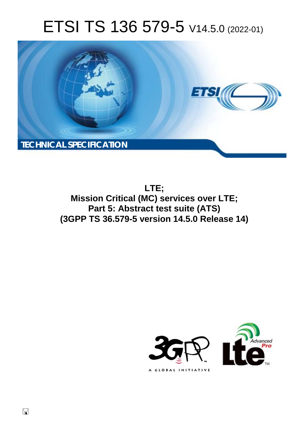# ETSI TS 136 579-5 V14.5.0 (2022-01)



**LTE; Mission Critical (MC) services over LTE; Part 5: Abstract test suite (ATS) (3GPP TS 36.579-5 version 14.5.0 Release 14)** 

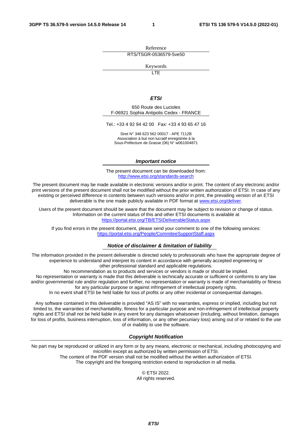Reference RTS/TSGR-0536579-5ve50

Keywords

 $\overline{\mathsf{ITF}}$ 

#### *ETSI*

650 Route des Lucioles F-06921 Sophia Antipolis Cedex - FRANCE

Tel.: +33 4 92 94 42 00 Fax: +33 4 93 65 47 16

Siret N° 348 623 562 00017 - APE 7112B Association à but non lucratif enregistrée à la Sous-Préfecture de Grasse (06) N° w061004871

#### *Important notice*

The present document can be downloaded from: <http://www.etsi.org/standards-search>

The present document may be made available in electronic versions and/or in print. The content of any electronic and/or print versions of the present document shall not be modified without the prior written authorization of ETSI. In case of any existing or perceived difference in contents between such versions and/or in print, the prevailing version of an ETSI deliverable is the one made publicly available in PDF format at [www.etsi.org/deliver](http://www.etsi.org/deliver).

Users of the present document should be aware that the document may be subject to revision or change of status. Information on the current status of this and other ETSI documents is available at <https://portal.etsi.org/TB/ETSIDeliverableStatus.aspx>

If you find errors in the present document, please send your comment to one of the following services: <https://portal.etsi.org/People/CommiteeSupportStaff.aspx>

#### *Notice of disclaimer & limitation of liability*

The information provided in the present deliverable is directed solely to professionals who have the appropriate degree of experience to understand and interpret its content in accordance with generally accepted engineering or other professional standard and applicable regulations.

No recommendation as to products and services or vendors is made or should be implied.

No representation or warranty is made that this deliverable is technically accurate or sufficient or conforms to any law and/or governmental rule and/or regulation and further, no representation or warranty is made of merchantability or fitness for any particular purpose or against infringement of intellectual property rights.

In no event shall ETSI be held liable for loss of profits or any other incidental or consequential damages.

Any software contained in this deliverable is provided "AS IS" with no warranties, express or implied, including but not limited to, the warranties of merchantability, fitness for a particular purpose and non-infringement of intellectual property rights and ETSI shall not be held liable in any event for any damages whatsoever (including, without limitation, damages for loss of profits, business interruption, loss of information, or any other pecuniary loss) arising out of or related to the use of or inability to use the software.

#### *Copyright Notification*

No part may be reproduced or utilized in any form or by any means, electronic or mechanical, including photocopying and microfilm except as authorized by written permission of ETSI. The content of the PDF version shall not be modified without the written authorization of ETSI.

The copyright and the foregoing restriction extend to reproduction in all media.

© ETSI 2022. All rights reserved.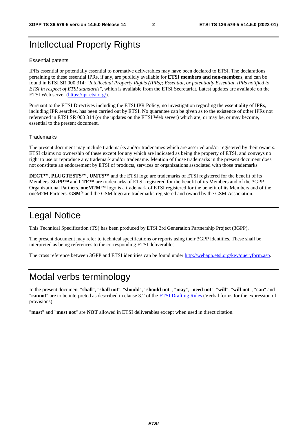# Intellectual Property Rights

#### Essential patents

IPRs essential or potentially essential to normative deliverables may have been declared to ETSI. The declarations pertaining to these essential IPRs, if any, are publicly available for **ETSI members and non-members**, and can be found in ETSI SR 000 314: *"Intellectual Property Rights (IPRs); Essential, or potentially Essential, IPRs notified to ETSI in respect of ETSI standards"*, which is available from the ETSI Secretariat. Latest updates are available on the ETSI Web server ([https://ipr.etsi.org/\)](https://ipr.etsi.org/).

Pursuant to the ETSI Directives including the ETSI IPR Policy, no investigation regarding the essentiality of IPRs, including IPR searches, has been carried out by ETSI. No guarantee can be given as to the existence of other IPRs not referenced in ETSI SR 000 314 (or the updates on the ETSI Web server) which are, or may be, or may become, essential to the present document.

#### **Trademarks**

The present document may include trademarks and/or tradenames which are asserted and/or registered by their owners. ETSI claims no ownership of these except for any which are indicated as being the property of ETSI, and conveys no right to use or reproduce any trademark and/or tradename. Mention of those trademarks in the present document does not constitute an endorsement by ETSI of products, services or organizations associated with those trademarks.

**DECT™**, **PLUGTESTS™**, **UMTS™** and the ETSI logo are trademarks of ETSI registered for the benefit of its Members. **3GPP™** and **LTE™** are trademarks of ETSI registered for the benefit of its Members and of the 3GPP Organizational Partners. **oneM2M™** logo is a trademark of ETSI registered for the benefit of its Members and of the oneM2M Partners. **GSM**® and the GSM logo are trademarks registered and owned by the GSM Association.

# Legal Notice

This Technical Specification (TS) has been produced by ETSI 3rd Generation Partnership Project (3GPP).

The present document may refer to technical specifications or reports using their 3GPP identities. These shall be interpreted as being references to the corresponding ETSI deliverables.

The cross reference between 3GPP and ETSI identities can be found under<http://webapp.etsi.org/key/queryform.asp>.

# Modal verbs terminology

In the present document "**shall**", "**shall not**", "**should**", "**should not**", "**may**", "**need not**", "**will**", "**will not**", "**can**" and "**cannot**" are to be interpreted as described in clause 3.2 of the [ETSI Drafting Rules](https://portal.etsi.org/Services/editHelp!/Howtostart/ETSIDraftingRules.aspx) (Verbal forms for the expression of provisions).

"**must**" and "**must not**" are **NOT** allowed in ETSI deliverables except when used in direct citation.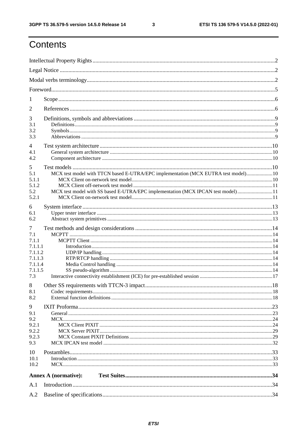$\mathbf{3}$ 

# Contents

| 1                                                                               |                                                                                                                                                                      |  |
|---------------------------------------------------------------------------------|----------------------------------------------------------------------------------------------------------------------------------------------------------------------|--|
| 2                                                                               |                                                                                                                                                                      |  |
| 3<br>3.1<br>3.2<br>3.3                                                          |                                                                                                                                                                      |  |
| $\overline{4}$<br>4.1<br>4.2                                                    |                                                                                                                                                                      |  |
| 5<br>5.1<br>5.1.1<br>5.1.2<br>5.2<br>5.2.1                                      | MCX test model with TTCN based E-UTRA/EPC implementation (MCX EUTRA test model)10<br>MCX test model with SS based E-UTRA/EPC implementation (MCX IPCAN test model)11 |  |
| 6<br>6.1<br>6.2                                                                 |                                                                                                                                                                      |  |
| 7<br>7.1<br>7.1.1<br>7.1.1.1<br>7.1.1.2<br>7.1.1.3<br>7.1.1.4<br>7.1.1.5<br>7.3 |                                                                                                                                                                      |  |
| 8<br>8.1<br>8.2                                                                 |                                                                                                                                                                      |  |
| 9<br>9.1<br>9.2<br>9.2.1<br>9.2.2<br>9.2.3<br>9.3                               |                                                                                                                                                                      |  |
| 10<br>10.1<br>10.2                                                              |                                                                                                                                                                      |  |
|                                                                                 | <b>Annex A (normative):</b>                                                                                                                                          |  |
| A.1                                                                             |                                                                                                                                                                      |  |
| A.2                                                                             |                                                                                                                                                                      |  |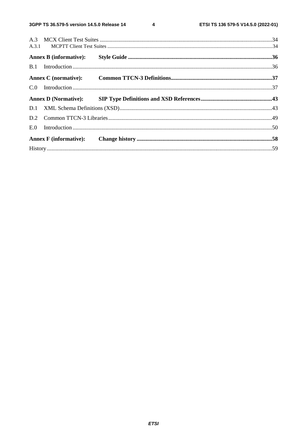$\overline{\mathbf{4}}$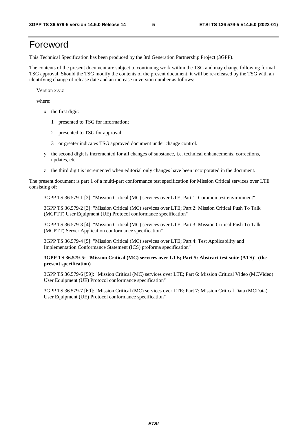# Foreword

This Technical Specification has been produced by the 3rd Generation Partnership Project (3GPP).

The contents of the present document are subject to continuing work within the TSG and may change following formal TSG approval. Should the TSG modify the contents of the present document, it will be re-released by the TSG with an identifying change of release date and an increase in version number as follows:

Version x.y.z

where:

- x the first digit:
	- 1 presented to TSG for information;
	- 2 presented to TSG for approval;
	- 3 or greater indicates TSG approved document under change control.
- y the second digit is incremented for all changes of substance, i.e. technical enhancements, corrections, updates, etc.
- z the third digit is incremented when editorial only changes have been incorporated in the document.

The present document is part 1 of a multi-part conformance test specification for Mission Critical services over LTE consisting of:

3GPP TS 36.579-1 [2]: "Mission Critical (MC) services over LTE; Part 1: Common test environment"

 3GPP TS 36.579-2 [3]: "Mission Critical (MC) services over LTE; Part 2: Mission Critical Push To Talk (MCPTT) User Equipment (UE) Protocol conformance specification"

 3GPP TS 36.579-3 [4]: "Mission Critical (MC) services over LTE; Part 3: Mission Critical Push To Talk (MCPTT) Server Application conformance specification"

 3GPP TS 36.579-4 [5]: "Mission Critical (MC) services over LTE; Part 4: Test Applicability and Implementation Conformance Statement (ICS) proforma specification"

#### **3GPP TS 36.579-5: "Mission Critical (MC) services over LTE; Part 5: Abstract test suite (ATS)" (the present specification)**

 3GPP TS 36.579-6 [59]: "Mission Critical (MC) services over LTE; Part 6: Mission Critical Video (MCVideo) User Equipment (UE) Protocol conformance specification"

 3GPP TS 36.579-7 [60]: "Mission Critical (MC) services over LTE; Part 7: Mission Critical Data (MCData) User Equipment (UE) Protocol conformance specification"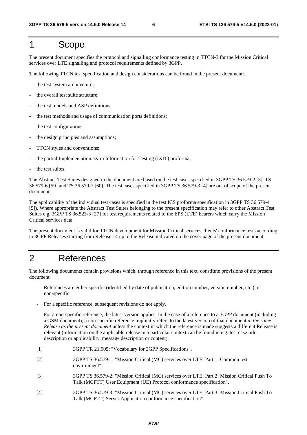# 1 Scope

The present document specifies the protocol and signalling conformance testing in TTCN-3 for the Mission Critical services over LTE signalling and protocol requirements defined by 3GPP.

The following TTCN test specification and design considerations can be found in the present document:

- the test system architecture;
- the overall test suite structure;
- the test models and ASP definitions;
- the test methods and usage of communication ports definitions;
- the test configurations;
- the design principles and assumptions;
- TTCN styles and conventions;
- the partial Implementation eXtra Information for Testing (IXIT) proforma;
- the test suites.

The Abstract Test Suites designed in the document are based on the test cases specified in 3GPP TS 36.579-2 [3], TS 36.579-6 [59] and TS 36.579-7 [60]. The test cases specified in 3GPP TS 36.579-3 [4] are out of scope of the present document.

The applicability of the individual test cases is specified in the test ICS proforma specification in 3GPP TS 36.579-4 [5]). Where appropriate the Abstract Test Suites belonging to the present specification may refer to other Abstract Test Suites e.g. 3GPP TS 36.523-3 [27] for test requirements related to the EPS (LTE) bearers which carry the Mission Critical services data.

The present document is valid for TTCN development for Mission Critical services clients' conformance tests according to 3GPP Releases starting from Release 14 up to the Release indicated on the cover page of the present document.

# 2 References

The following documents contain provisions which, through reference in this text, constitute provisions of the present document.

- References are either specific (identified by date of publication, edition number, version number, etc.) or non-specific.
- For a specific reference, subsequent revisions do not apply.
- For a non-specific reference, the latest version applies. In the case of a reference to a 3GPP document (including a GSM document), a non-specific reference implicitly refers to the latest version of that document *in the same Release as the present document* unless the context in which the reference is made suggests a different Release is relevant (information on the applicable release in a particular context can be found in e.g. test case title, description or applicability, message description or content).
- [1] 3GPP TR 21.905: "Vocabulary for 3GPP Specifications".
- [2] 3GPP TS 36.579-1: "Mission Critical (MC) services over LTE; Part 1: Common test environment".
- [3] 3GPP TS 36.579-2: "Mission Critical (MC) services over LTE; Part 2: Mission Critical Push To Talk (MCPTT) User Equipment (UE) Protocol conformance specification".
- [4] 3GPP TS 36.579-3: "Mission Critical (MC) services over LTE; Part 3: Mission Critical Push To Talk (MCPTT) Server Application conformance specification".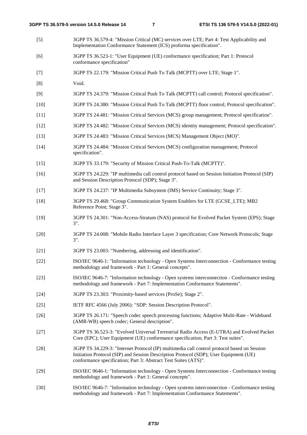- [5] 3GPP TS 36.579-4: "Mission Critical (MC) services over LTE; Part 4: Test Applicability and Implementation Conformance Statement (ICS) proforma specification".
- [6] 3GPP TS 36.523-1: "User Equipment (UE) conformance specification; Part 1: Protocol conformance specification"
- [7] 3GPP TS 22.179: "Mission Critical Push To Talk (MCPTT) over LTE; Stage 1".
- [8] Void.
- [9] 3GPP TS 24.379: "Mission Critical Push To Talk (MCPTT) call control; Protocol specification".
- [10] 3GPP TS 24.380: "Mission Critical Push To Talk (MCPTT) floor control; Protocol specification".
- [11] 3GPP TS 24.481: "Mission Critical Services (MCS) group management; Protocol specification".
- [12] 3GPP TS 24.482: "Mission Critical Services (MCS) identity management; Protocol specification".
- [13] 3GPP TS 24.483: "Mission Critical Services (MCS) Management Object (MO)".
- [14] 3GPP TS 24.484: "Mission Critical Services (MCS) configuration management; Protocol specification".
- [15] 3GPP TS 33.179: "Security of Mission Critical Push-To-Talk (MCPTT)".
- [16] 3GPP TS 24.229: "IP multimedia call control protocol based on Session Initiation Protocol (SIP) and Session Description Protocol (SDP); Stage 3".
- [17] 3GPP TS 24.237: "IP Multimedia Subsystem (IMS) Service Continuity; Stage 3".
- [18] 3GPP TS 29.468: "Group Communication System Enablers for LTE (GCSE\_LTE); MB2 Reference Point; Stage 3".
- [19] 3GPP TS 24.301: "Non-Access-Stratum (NAS) protocol for Evolved Packet System (EPS); Stage 3".
- [20] 3GPP TS 24.008: "Mobile Radio Interface Layer 3 specification; Core Network Protocols; Stage 3".
- [21] 3GPP TS 23.003: "Numbering, addressing and identification".
- [22] ISO/IEC 9646-1: "Information technology Open Systems Interconnection Conformance testing methodology and framework - Part 1: General concepts".
- [23] ISO/IEC 9646-7: "Information technology Open systems interconnection Conformance testing methodology and framework - Part 7: Implementation Conformance Statements".
- [24] 3GPP TS 23.303: "Proximity-based services (ProSe); Stage 2".
- [25] IETF RFC 4566 (July 2006): "SDP: Session Description Protocol".
- [26] 3GPP TS 26.171: "Speech codec speech processing functions; Adaptive Multi-Rate Wideband (AMR-WB) speech codec; General description".
- [27] 3GPP TS 36.523-3: "Evolved Universal Terrestrial Radio Access (E-UTRA) and Evolved Packet Core (EPC); User Equipment (UE) conformance specification; Part 3: Test suites".
- [28] 3GPP TS 34.229-3: "Internet Protocol (IP) multimedia call control protocol based on Session Initiation Protocol (SIP) and Session Description Protocol (SDP); User Equipment (UE) conformance specification; Part 3: Abstract Test Suites (ATS)".
- [29] ISO/IEC 9646-1: "Information technology Open Systems Interconnection Conformance testing methodology and framework - Part 1: General concepts".
- [30] ISO/IEC 9646-7: "Information technology Open systems interconnection Conformance testing methodology and framework - Part 7: Implementation Conformance Statements".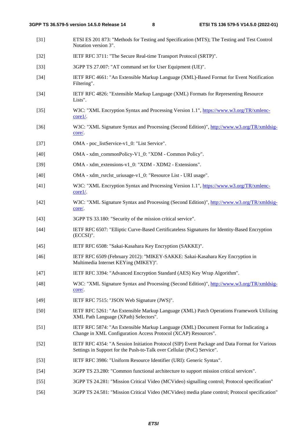- [31] ETSI ES 201 873: "Methods for Testing and Specification (MTS); The Testing and Test Control Notation version 3". [32] IETF RFC 3711: "The Secure Real-time Transport Protocol (SRTP)". [33] 3GPP TS 27.007: "AT command set for User Equipment (UE)". [34] IETF RFC 4661: "An Extensible Markup Language (XML)-Based Format for Event Notification Filtering". [34] IETF RFC 4826: "Extensible Markup Language (XML) Formats for Representing Resource Lists". [35] W3C: "XML Encryption Syntax and Processing Version 1.1", [https://www.w3.org/TR/xmlenc](https://www.w3.org/TR/xmlenc-core1/)[core1/.](https://www.w3.org/TR/xmlenc-core1/) [36] W3C: "XML Signature Syntax and Processing (Second Edition)", [http://www.w3.org/TR/xmldsig](http://www.w3.org/TR/xmldsig-core/)[core/.](http://www.w3.org/TR/xmldsig-core/) [37] OMA - poc\_listService-v1\_0: "List Service". [40] OMA - xdm\_commonPolicy-V1\_0: "XDM - Common Policy". [39] OMA - xdm\_extensions-v1\_0: "XDM - XDM2 - Extensions". [40] OMA - xdm\_rsrclst\_uriusage-v1\_0: "Resource List - URI usage". [41] W3C: "XML Encryption Syntax and Processing Version 1.1", [https://www.w3.org/TR/xmlenc](https://www.w3.org/TR/xmlenc-core1/)[core1/.](https://www.w3.org/TR/xmlenc-core1/) [42] W3C: "XML Signature Syntax and Processing (Second Edition)", [http://www.w3.org/TR/xmldsig](http://www.w3.org/TR/xmldsig-core/)[core/.](http://www.w3.org/TR/xmldsig-core/) [43] 3GPP TS 33.180: "Security of the mission critical service". [44] IETF RFC 6507: "Elliptic Curve-Based Certificateless Signatures for Identity-Based Encryption (ECCSI)". [45] IETF RFC 6508: "Sakai-Kasahara Key Encryption (SAKKE)". [46] IETF RFC 6509 (February 2012): ''MIKEY-SAKKE: Sakai-Kasahara Key Encryption in Multimedia Internet KEYing (MIKEY)''. [47] IETF RFC 3394: "Advanced Encryption Standard (AES) Key Wrap Algorithm". [48] W3C: "XML Signature Syntax and Processing (Second Edition)", [http://www.w3.org/TR/xmldsig](http://www.w3.org/TR/xmldsig-core/)[core/.](http://www.w3.org/TR/xmldsig-core/) [49] **IETF RFC 7515: "JSON Web Signature (JWS)"**. [50] IETF RFC 5261: "An Extensible Markup Language (XML) Patch Operations Framework Utilizing XML Path Language (XPath) Selectors". [51] IETF RFC 5874: "An Extensible Markup Language (XML) Document Format for Indicating a Change in XML Configuration Access Protocol (XCAP) Resources". [52] IETF RFC 4354: "A Session Initiation Protocol (SIP) Event Package and Data Format for Various Settings in Support for the Push-to-Talk over Cellular (PoC) Service". [53] IETF RFC 3986: "Uniform Resource Identifier (URI): Generic Syntax". [54] 3GPP TS 23.280: "Common functional architecture to support mission critical services". [55] 3GPP TS 24.281: "Mission Critical Video (MCVideo) signalling control; Protocol specification"
- [56] 3GPP TS 24.581: "Mission Critical Video (MCVideo) media plane control; Protocol specification"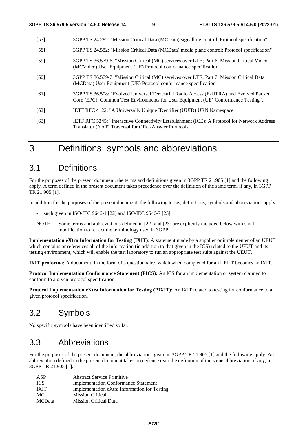- [57] 3GPP TS 24.282: "Mission Critical Data (MCData) signalling control; Protocol specification"
- [58] 3GPP TS 24.582: "Mission Critical Data (MCData) media plane control; Protocol specification"
- [59] 3GPP TS 36.579-6: "Mission Critical (MC) services over LTE; Part 6: Mission Critical Video (MCVideo) User Equipment (UE) Protocol conformance specification"
- [60] 3GPP TS 36.579-7: "Mission Critical (MC) services over LTE; Part 7: Mission Critical Data (MCData) User Equipment (UE) Protocol conformance specification"
- [61] 3GPP TS 36.508: "Evolved Universal Terrestrial Radio Access (E-UTRA) and Evolved Packet Core (EPC); Common Test Environments for User Equipment (UE) Conformance Testing".
- [62] IETF RFC 4122: "A Universally Unique IDentifier (UUID) URN Namespace"
- [63] IETF RFC 5245: "Interactive Connectivity Establishment (ICE): A Protocol for Network Address Translator (NAT) Traversal for Offer/Answer Protocols"

# 3 Definitions, symbols and abbreviations

# 3.1 Definitions

For the purposes of the present document, the terms and definitions given in 3GPP TR 21.905 [1] and the following apply. A term defined in the present document takes precedence over the definition of the same term, if any, in 3GPP TR 21.905 [1].

In addition for the purposes of the present document, the following terms, definitions, symbols and abbreviations apply:

- such given in ISO/IEC 9646-1 [22] and ISO/IEC 9646-7 [23]
- NOTE: Some terms and abbreviations defined in [22] and [23] are explicitly included below with small modification to reflect the terminology used in 3GPP.

**Implementation eXtra Information for Testing (IXIT)**: A statement made by a supplier or implementer of an UEUT which contains or references all of the information (in addition to that given in the ICS) related to the UEUT and its testing environment, which will enable the test laboratory to run an appropriate test suite against the UEUT.

**IXIT proforma:** A document, in the form of a questionnaire, which when completed for an UEUT becomes an IXIT.

**Protocol Implementation Conformance Statement (PICS):** An ICS for an implementation or system claimed to conform to a given protocol specification.

**Protocol Implementation eXtra Information for Testing (PIXIT):** An IXIT related to testing for conformance to a given protocol specification.

# 3.2 Symbols

No specific symbols have been identified so far.

# 3.3 Abbreviations

For the purposes of the present document, the abbreviations given in 3GPP TR 21.905 [1] and the following apply. An abbreviation defined in the present document takes precedence over the definition of the same abbreviation, if any, in 3GPP TR 21.905 [1].

| ASP           | <b>Abstract Service Primitive</b>            |
|---------------|----------------------------------------------|
| <b>ICS</b>    | <b>Implementation Conformance Statement</b>  |
| <b>IXIT</b>   | Implementation eXtra Information for Testing |
| MC.           | <b>Mission Critical</b>                      |
| <b>MCData</b> | <b>Mission Critical Data</b>                 |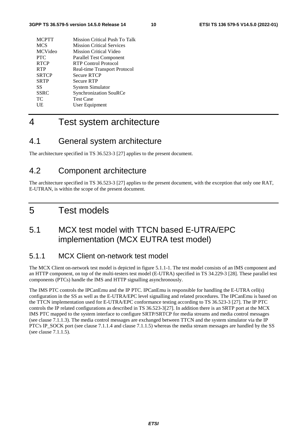| <b>MCPTT</b>   | Mission Critical Push To Talk    |
|----------------|----------------------------------|
| <b>MCS</b>     | <b>Mission Critical Services</b> |
| <b>MCVideo</b> | Mission Critical Video           |
| <b>PTC</b>     | <b>Parallel Test Component</b>   |
| <b>RTCP</b>    | RTP Control Protocol             |
| <b>RTP</b>     | Real-time Transport Protocol     |
| <b>SRTCP</b>   | <b>Secure RTCP</b>               |
| <b>SRTP</b>    | <b>Secure RTP</b>                |
| SS             | System Simulator                 |
| <b>SSRC</b>    | <b>Synchronization SouRCe</b>    |
| TC             | <b>Test Case</b>                 |
| UE             | User Equipment                   |
|                |                                  |

# 4 Test system architecture

# 4.1 General system architecture

The architecture specified in TS 36.523-3 [27] applies to the present document.

# 4.2 Component architecture

The architecture specified in TS 36.523-3 [27] applies to the present document, with the exception that only one RAT, E-UTRAN, is within the scope of the present document.

# 5 Test models

# 5.1 MCX test model with TTCN based E-UTRA/EPC implementation (MCX EUTRA test model)

# 5.1.1 MCX Client on-network test model

The MCX Client on-network test model is depicted in figure 5.1.1-1. The test model consists of an IMS component and an HTTP component, on top of the multi-testers test model (E-UTRA) specified in TS 34.229-3 [28]. These parallel test components (PTCs) handle the IMS and HTTP signalling asynchronously.

The IMS PTC controls the IPCanEmu and the IP PTC. IPCanEmu is responsible for handling the E-UTRA cell(s) configuration in the SS as well as the E-UTRA/EPC level signalling and related procedures. The IPCanEmu is based on the TTCN implementation used for E-UTRA/EPC conformance testing according to TS 36.523-3 [27]. The IP PTC controls the IP related configurations as described in TS 36.523-3[27]. In addition there is an SRTP port at the MCX IMS PTC mapped to the system interface to configure SRTP/SRTCP for media streams and media control messages (see clause 7.1.1.3). The media control messages are exchanged between TTCN and the system simulator via the IP PTC's IP\_SOCK port (see clause 7.1.1.4 and clause 7.1.1.5) whereas the media stream messages are handled by the SS (see clause 7.1.1.5).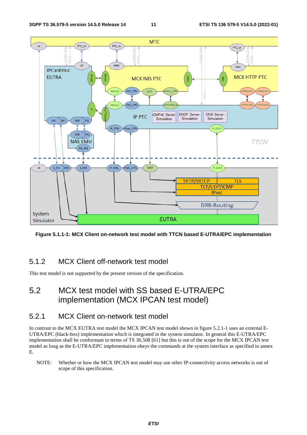

**Figure 5.1.1-1: MCX Client on-network test model with TTCN based E-UTRA/EPC implementation** 

# 5.1.2 MCX Client off-network test model

This test model is not supported by the present version of the specification.

# 5.2 MCX test model with SS based E-UTRA/EPC implementation (MCX IPCAN test model)

# 5.2.1 MCX Client on-network test model

In contrast to the MCX EUTRA test model the MCX IPCAN test model shown in figure 5.2.1-1 uses an external E-UTRA/EPC (black-box) implementation which is integrated in the system simulator. In general this E-UTRA/EPC implementation shall be conformant in terms of TS 36.508 [61] but this is out of the scope for the MCX IPCAN test model as long as the E-UTRA/EPC implementation obeys the commands at the system interface as specified in annex E.

NOTE: Whether or how the MCX IPCAN test model may use other IP-connectivity access networks is out of scope of this specification.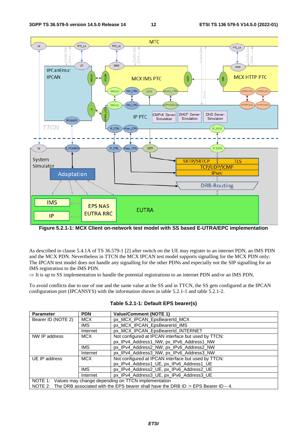

**Figure 5.2.1-1: MCX Client on-network test model with SS based E-UTRA/EPC implementation** 

As described in clause 5.4.1A of TS 36.579-1 [2] after switch on the UE may register to an internet PDN, an IMS PDN and the MCX PDN. Nevertheless in TTCN the MCX IPCAN test model supports signalling for the MCX PDN only: The IPCAN test model does not handle any signalling for the other PDNs and especially not the SIP signalling for an IMS registration to the IMS PDN.

 $\Rightarrow$  It is up to SS implementation to handle the potential registrations to an internet PDN and/or an IMS PDN.

To avoid conflicts due to use of one and the same value at the SS and in TTCN, the SS gets configured at the IPCAN configuration port (IPCANSYS) with the information shown in table 5.2.1-1 and table 5.2.1-2.

| <b>Parameter</b>                                                                             | <b>PDN</b> | <b>Value/Comment (NOTE 1)</b>                       |  |
|----------------------------------------------------------------------------------------------|------------|-----------------------------------------------------|--|
| Bearer ID (NOTE 2)                                                                           | <b>MCX</b> | px MCX IPCAN EpsBearerId MCX                        |  |
|                                                                                              | <b>IMS</b> | px MCX IPCAN EpsBearerId IMS                        |  |
|                                                                                              | Internet   | px_MCX_IPCAN_EpsBearerId_INTERNET                   |  |
| NW IP address                                                                                | MCX.       | Not configured at IPCAN interface but used by TTCN: |  |
|                                                                                              |            | px_IPv4_Address1_NW, px_IPv6_Address1_NW            |  |
|                                                                                              | <b>IMS</b> | px IPv4 Address2 NW, px IPv6 Address2 NW            |  |
|                                                                                              | Internet   | px IPv4 Address3 NW, px IPv6 Address3 NW            |  |
| UE IP address                                                                                | <b>MCX</b> | Not configured at IPCAN interface but used by TTCN: |  |
|                                                                                              |            | px IPv4 Address1 UE, px IPv6 Address1 UE            |  |
|                                                                                              | <b>IMS</b> | px IPv4 Address2 UE, px IPv6 Address2 UE            |  |
|                                                                                              | Internet   | px_IPv4_Address3_UE, px_IPv6_Address3_UE            |  |
| NOTE 1: Values may change depending on TTCN implementation                                   |            |                                                     |  |
| NOTE 2: The DRB associated with the EPS bearer shall have the DRB ID := EPS Bearer ID $-4$ . |            |                                                     |  |

**Table 5.2.1-1: Default EPS bearer(s)**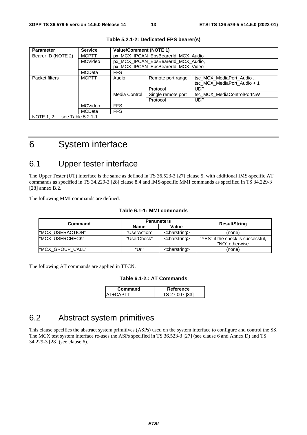| <b>Parameter</b>                 | <b>Service</b> | <b>Value/Comment (NOTE 1)</b>      |                                     |                             |  |
|----------------------------------|----------------|------------------------------------|-------------------------------------|-----------------------------|--|
| Bearer ID (NOTE 2)               | <b>MCPTT</b>   | px MCX IPCAN EpsBearerId MCX Audio |                                     |                             |  |
|                                  | <b>MCVideo</b> |                                    | px_MCX_IPCAN_EpsBearerId_MCX_Audio, |                             |  |
|                                  |                |                                    | px MCX IPCAN EpsBearerId MCX Video  |                             |  |
|                                  | MCData         | <b>FFS</b>                         |                                     |                             |  |
| Packet filters                   | <b>MCPTT</b>   | Audio                              | Remote port range                   | tsc MCX MediaPort Audio     |  |
|                                  | Media Control  |                                    |                                     | tsc MCX MediaPort Audio + 1 |  |
|                                  |                |                                    | Protocol                            | <b>UDP</b>                  |  |
|                                  |                | Single remote port                 | tsc MCX MediaControlPortNW          |                             |  |
|                                  |                | Protocol                           | <b>UDP</b>                          |                             |  |
|                                  | MCVideo        | <b>FFS</b>                         |                                     |                             |  |
|                                  | <b>MCData</b>  | <b>FFS</b>                         |                                     |                             |  |
| NOTE 1, 2:<br>see Table 5.2.1-1. |                |                                    |                                     |                             |  |

#### **Table 5.2.1-2: Dedicated EPS bearer(s)**

6 System interface

# 6.1 Upper tester interface

The Upper Tester (UT) interface is the same as defined in TS 36.523-3 [27] clause 5, with additional IMS-specific AT commands as specified in TS 34.229-3 [28] clause 8.4 and IMS-specific MMI commands as specified in TS 34.229-3 [28] annex B.2.

The following MMI commands are defined.

#### **Table 6.1-1: MMI commands**

|                   | <b>Parameters</b> |                           |                                                     |
|-------------------|-------------------|---------------------------|-----------------------------------------------------|
| Command           | Name              | Value                     | ResultString                                        |
| I"MCX USERACTION" | "UserAction"      | <charstring></charstring> | (none)                                              |
| "MCX USERCHECK"   | "UserCheck"       | <charstring></charstring> | "YES" if the check is successful,<br>"NO" otherwise |
| "MCX_GROUP_CALL"  | *Uri"             | <charstring></charstring> | (none)                                              |

The following AT commands are applied in TTCN.

#### **Table 6.1-2.: AT Commands**

| Command | Reference      |
|---------|----------------|
|         | TS 27.007 [33] |

# 6.2 Abstract system primitives

This clause specifies the abstract system primitives (ASPs) used on the system interface to configure and control the SS. The MCX test system interface re-uses the ASPs specified in TS 36.523-3 [27] (see clause 6 and Annex D) and TS 34.229-3 [28] (see clause 6).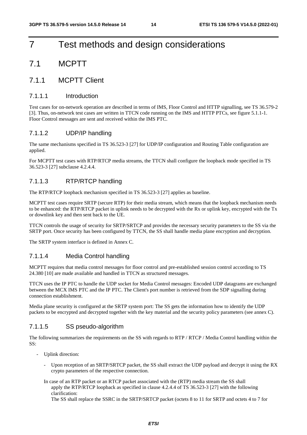# 7 Test methods and design considerations

# 7.1 MCPTT

# 7.1.1 MCPTT Client

#### 7.1.1.1 Introduction

Test cases for on-network operation are described in terms of IMS, Floor Control and HTTP signalling, see TS 36.579-2 [3]. Thus, on-network test cases are written in TTCN code running on the IMS and HTTP PTCs, see figure 5.1.1-1. Floor Control messages are sent and received within the IMS PTC.

### 7.1.1.2 UDP/IP handling

The same mechanisms specified in TS 36.523-3 [27] for UDP/IP configuration and Routing Table configuration are applied.

For MCPTT test cases with RTP/RTCP media streams, the TTCN shall configure the loopback mode specified in TS 36.523-3 [27] subclause 4.2.4.4.

### 7.1.1.3 RTP/RTCP handling

The RTP/RTCP loopback mechanism specified in TS 36.523-3 [27] applies as baseline.

MCPTT test cases require SRTP (secure RTP) for their media stream, which means that the loopback mechanism needs to be enhanced: the RTP/RTCP packet in uplink needs to be decrypted with the Rx or uplink key, encrypted with the Tx or downlink key and then sent back to the UE.

TTCN controls the usage of security for SRTP/SRTCP and provides the necessary security parameters to the SS via the SRTP port. Once security has been configured by TTCN, the SS shall handle media plane encryption and decryption.

The SRTP system interface is defined in Annex C.

#### 7.1.1.4 Media Control handling

MCPTT requires that media control messages for floor control and pre-established session control according to TS 24.380 [10] are made available and handled in TTCN as structured messages.

TTCN uses the IP PTC to handle the UDP socket for Media Control messages: Encoded UDP datagrams are exchanged between the MCX IMS PTC and the IP PTC. The Client's port number is retrieved from the SDP signalling during connection establishment.

Media plane security is configured at the SRTP system port: The SS gets the information how to identify the UDP packets to be encrypted and decrypted together with the key material and the security policy parameters (see annex C).

#### 7.1.1.5 SS pseudo-algorithm

The following summarizes the requirements on the SS with regards to RTP / RTCP / Media Control handling within the SS:

- Uplink direction:
	- Upon reception of an SRTP/SRTCP packet, the SS shall extract the UDP payload and decrypt it using the RX crypto parameters of the respective connection.
	- In case of an RTP packet or an RTCP packet associated with the (RTP) media stream the SS shall apply the RTP/RTCP loopback as specified in clause 4.2.4.4 of TS 36.523-3 [27] with the following clarification:

The SS shall replace the SSRC in the SRTP/SRTCP packet (octets 8 to 11 for SRTP and octets 4 to 7 for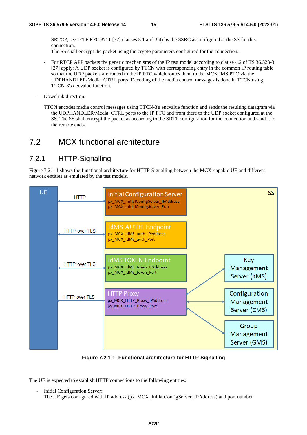SRTCP, see IETF RFC 3711 [32] clauses 3.1 and 3.4) by the SSRC as configured at the SS for this connection.

The SS shall encrypt the packet using the crypto parameters configured for the connection.-

- For RTCP APP packets the generic mechanisms of the IP test model according to clause 4.2 of TS 36.523-3 [27] apply: A UDP socket is configured by TTCN with corresponding entry in the common IP routing table so that the UDP packets are routed to the IP PTC which routes them to the MCX IMS PTC via the UDPHANDLER/Media\_CTRL ports. Decoding of the media control messages is done in TTCN using TTCN-3's decvalue function.
- Downlink direction:
	- TTCN encodes media control messages using TTCN-3's encvalue function and sends the resulting datagram via the UDPHANDLER/Media\_CTRL ports to the IP PTC and from there to the UDP socket configured at the SS. The SS shall encrypt the packet as according to the SRTP configuration for the connection and send it to the remote end.-

# 7.2 MCX functional architecture

# 7.2.1 HTTP-Signalling

Figure 7.2.1-1 shows the functional architecture for HTTP-Signalling between the MCX-capable UE and different network entities as emulated by the test models.



**Figure 7.2.1-1: Functional architecture for HTTP-Signalling** 

The UE is expected to establish HTTP connections to the following entities:

Initial Configuration Server: The UE gets configured with IP address (px\_MCX\_InitialConfigServer\_IPAddress) and port number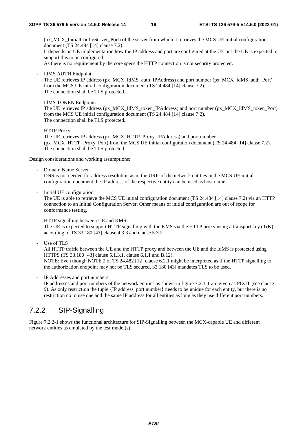(px\_MCX\_InitialConfigServer\_Port) of the server from which it retrieves the MCS UE initial configuration document (TS 24.484 [14] clause 7.2). It depends on UE implementation how the IP address and port are configured at the UE but the UE is expected to support this to be configured.

As there is no requirement by the core specs the HTTP connection is not security protected.

- IdMS AUTH Endpoint:

The UE retrieves IP address (px\_MCX\_IdMS\_auth\_IPAddress) and port number (px\_MCX\_IdMS\_auth\_Port) from the MCS UE initial configuration document (TS 24.484 [14] clause 7.2). The connection shall be TLS protected.

- IdMS TOKEN Endpoint: The UE retrieves IP address (px\_MCX\_IdMS\_token\_IPAddress) and port number (px\_MCX\_IdMS\_token\_Port) from the MCS UE initial configuration document (TS 24.484 [14] clause 7.2). The connection shall be TLS protected.
- HTTP Proxy: The UE retrieves IP address (px\_MCX\_HTTP\_Proxy\_IPAddress) and port number (px\_MCX\_HTTP\_Proxy\_Port) from the MCS UE initial configuration document (TS 24.484 [14] clause 7.2). The connection shall be TLS protected.

Design considerations and working assumptions:

- Domain Name Server DNS is not needed for address resolution as in the URIs of the network entities in the MCS UE initial configuration document the IP address of the respective entity can be used as host name.
- Initial UE configuration

The UE is able to retrieve the MCS UE initial configuration document (TS 24.484 [14] clause 7.2) via an HTTP connection to an Initial Configuration Server. Other means of initial configuration are out of scope for conformance testing.

- HTTP signalling between UE and KMS The UE is expected to support HTTP signalling with the KMS via the HTTP proxy using a transport key (TrK) according to TS 33.180 [43] clause 4.3.3 and clause 5.3.2.
- Use of TLS

All HTTP traffic between the UE and the HTTP proxy and between the UE and the IdMS is protected using HTTPS (TS 33.180 [43] clause 5.1.3.1, clause 6.1.1 and B.12). NOTE: Even though NOTE 2 of TS 24.482 [12] clause 6.2.1 might be interpreted as if the HTTP signalling to

the authorization endpoint may not be TLS secured, 33.180 [43] mandates TLS to be used.

IP Addresses and port numbers

IP addresses and port numbers of the network entities as shown in figure 7.2.1-1 are given as PIXIT (see clause 9). As only restriction the tuple {IP address, port number} needs to be unique for each entity, but there is no restriction no to use one and the same IP address for all entities as long as they use different port numbers.

# 7.2.2 SIP-Signalling

Figure 7.2.2-1 shows the functional architecture for SIP-Signalling between the MCX-capable UE and different network entities as emulated by the test model(s).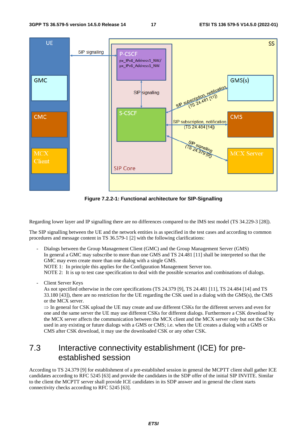

**Figure 7.2.2-1: Functional architecture for SIP-Signalling** 

Regarding lower layer and IP signalling there are no differences compared to the IMS test model (TS 34.229-3 [28]).

The SIP signalling between the UE and the network entities is as specified in the test cases and according to common procedures and message content in TS 36.579-1 [2] with the following clarifications:

- Dialogs between the Group Management Client (GMC) and the Group Management Server (GMS) In general a GMC may subscribe to more than one GMS and TS 24.481 [11] shall be interpreted so that the GMC may even create more than one dialog with a single GMS. NOTE 1: In principle this applies for the Configuration Management Server too. NOTE 2: It is up to test case specification to deal with the possible scenarios and combinations of dialogs.
- Client Server Keys

As not specified otherwise in the core specifications (TS 24.379 [9], TS 24.481 [11], TS 24.484 [14] and TS 33.180 [43]), there are no restriction for the UE regarding the CSK used in a dialog with the GMS(s), the CMS or the MCX server.

 $\Rightarrow$  In general for CSK upload the UE may create and use different CSKs for the different servers and even for one and the same server the UE may use different CSKs for different dialogs. Furthermore a CSK download by the MCX server affects the communication between the MCX client and the MCX server only but not the CSKs used in any existing or future dialogs with a GMS or CMS; i.e. when the UE creates a dialog with a GMS or CMS after CSK download, it may use the downloaded CSK or any other CSK.

# 7.3 Interactive connectivity establishment (ICE) for preestablished session

According to TS 24.379 [9] for establishment of a pre-established session in general the MCPTT client shall gather ICE candidates according to RFC 5245 [63] and provide the candidates in the SDP offer of the initial SIP INVITE. Similar to the client the MCPTT server shall provide ICE candidates in its SDP answer and in general the client starts connectivity checks according to RFC 5245 [63].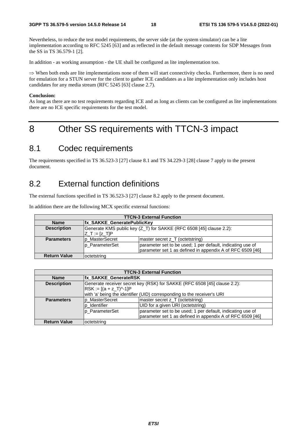Nevertheless, to reduce the test model requirements, the server side (at the system simulator) can be a lite implementation according to RFC 5245 [63] and as reflected in the default message contents for SDP Messages from the SS in TS 36.579-1 [2].

In addition - as working assumption - the UE shall be configured as lite implementation too.

 $\Rightarrow$  When both ends are lite implementations none of them will start connectivity checks. Furthermore, there is no need for emulation for a STUN server for the client to gather ICE candidates as a lite implementation only includes host candidates for any media stream (RFC 5245 [63] clause 2.7).

#### **Conclusion:**

As long as there are no test requirements regarding ICE and as long as clients can be configured as lite implementations there are no ICE specific requirements for the test model.

# 8 Other SS requirements with TTCN-3 impact

# 8.1 Codec requirements

The requirements specified in TS 36.523-3 [27] clause 8.1 and TS 34.229-3 [28] clause 7 apply to the present document.

# 8.2 External function definitions

The external functions specified in TS 36.523-3 [27] clause 8.2 apply to the present document.

In addition there are the following MCX specific external functions:

| <b>TTCN-3 External Function</b> |                                                                                       |                                                                                                                         |  |  |
|---------------------------------|---------------------------------------------------------------------------------------|-------------------------------------------------------------------------------------------------------------------------|--|--|
| <b>Name</b>                     | <b>Ifx SAKKE GeneratePublicKey</b>                                                    |                                                                                                                         |  |  |
| <b>Description</b>              | Generate KMS public key (Z_T) for SAKKE (RFC 6508 [45] clause 2.2):<br> Z_T := [z_T]P |                                                                                                                         |  |  |
| <b>Parameters</b>               | p_MasterSecret                                                                        | master secret z_T (octetstring)                                                                                         |  |  |
|                                 | Ip ParameterSet                                                                       | parameter set to be used; 1 per default, indicating use of<br>parameter set 1 as defined in appendix A of RFC 6509 [46] |  |  |
| <b>Return Value</b>             | loctetstring                                                                          |                                                                                                                         |  |  |

| <b>TTCN-3 External Function</b> |                                                                          |                                                                         |  |
|---------------------------------|--------------------------------------------------------------------------|-------------------------------------------------------------------------|--|
| <b>Name</b>                     | <b>Ifx SAKKE GenerateRSK</b>                                             |                                                                         |  |
| <b>Description</b>              | Generate receiver secret key (RSK) for SAKKE (RFC 6508 [45] clause 2.2): |                                                                         |  |
|                                 | $RSK := [(a + z_T)^{-1}]P$                                               |                                                                         |  |
|                                 |                                                                          | with 'a' being the identifier (UID) corresponding to the receiver's URI |  |
| <b>Parameters</b>               | p MasterSecret                                                           | master secret z T (octetstring)                                         |  |
|                                 | p Identifier                                                             | UID for a given URI (octetstring)                                       |  |
|                                 | p ParameterSet                                                           | parameter set to be used; 1 per default, indicating use of              |  |
|                                 |                                                                          | parameter set 1 as defined in appendix A of RFC 6509 [46]               |  |
| <b>Return Value</b>             | octetstring                                                              |                                                                         |  |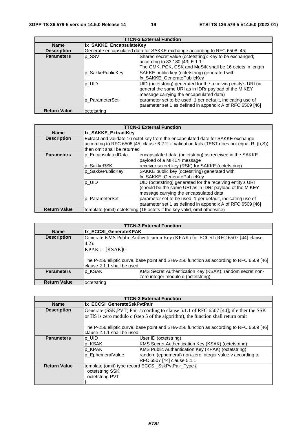| <b>TTCN-3 External Function</b> |                         |                                                                                                                                                                   |  |  |
|---------------------------------|-------------------------|-------------------------------------------------------------------------------------------------------------------------------------------------------------------|--|--|
| <b>Name</b>                     | fx_SAKKE_EncapsulateKey |                                                                                                                                                                   |  |  |
| <b>Description</b>              |                         | Generate encapsulated data for SAKKE exchange according to RFC 6508 [45]                                                                                          |  |  |
| <b>Parameters</b>               | p_SSV                   | Shared secret value (octetstring): Key to be exchanged;<br>according to 33.180 [43] E.1.1:<br>The GMK, PCK, CSK and MuSiK shall be 16 octets in length            |  |  |
|                                 | lp SakkePublicKey       | SAKKE public key (octetstring) generated with<br>fx_SAKKE_GeneratePublicKey                                                                                       |  |  |
|                                 | p_UID                   | UID (octetstring) generated for the receiving entity's URI (in<br>general the same URI as in IDRr payload of the MIKEY<br>message carrying the encapsulated data) |  |  |
|                                 | Ip ParameterSet         | parameter set to be used; 1 per default, indicating use of<br>parameter set 1 as defined in appendix A of RFC 6509 [46]                                           |  |  |
| <b>Return Value</b>             | octetstring             |                                                                                                                                                                   |  |  |

| <b>TTCN-3 External Function</b> |                                                                          |                                                                                            |  |  |
|---------------------------------|--------------------------------------------------------------------------|--------------------------------------------------------------------------------------------|--|--|
| <b>Name</b>                     | fx_SAKKE_ExtractKey                                                      |                                                                                            |  |  |
| <b>Description</b>              |                                                                          | Extract and validate 16 octet key from the encapsulated date for SAKKE exchange            |  |  |
|                                 |                                                                          | according to RFC 6508 [45] clause 6.2.2: if validation fails (TEST does not equal R_(b,S)) |  |  |
|                                 | then omit shall be returned                                              |                                                                                            |  |  |
| <b>Parameters</b>               | p_EncapsulatedData                                                       | encapsulated data (octetstring) as received in the SAKKE                                   |  |  |
|                                 |                                                                          | payload of a MIKEY message                                                                 |  |  |
|                                 | p_SakkeRSK                                                               | receiver secret key (RSK) for SAKKE (octetstring)                                          |  |  |
|                                 | p_SakkePublicKey                                                         | SAKKE public key (octetstring) generated with                                              |  |  |
|                                 |                                                                          | fx_SAKKE_GeneratePublicKey                                                                 |  |  |
|                                 | $ p_U $                                                                  | UID (octetstring) generated for the receiving entity's URI                                 |  |  |
|                                 |                                                                          | (should be the same URI as in IDRr payload of the MIKEY                                    |  |  |
|                                 |                                                                          | message carrying the encapsulated data                                                     |  |  |
|                                 | p ParameterSet                                                           | parameter set to be used; 1 per default, indicating use of                                 |  |  |
|                                 |                                                                          | parameter set 1 as defined in appendix A of RFC 6509 [46]                                  |  |  |
| <b>Return Value</b>             | template (omit) octetstring (16 octets if the key valid, omit otherwise) |                                                                                            |  |  |

|                     | <b>TTCN-3 External Function</b>                               |                                                                                                                                                                          |  |
|---------------------|---------------------------------------------------------------|--------------------------------------------------------------------------------------------------------------------------------------------------------------------------|--|
| <b>Name</b>         |                                                               | <b>fx_ECCSI_GenerateKPAK</b>                                                                                                                                             |  |
| <b>Description</b>  | $(4.2)$ :<br>$KPAK := [KSAK]G$<br>clause 2.1.1 shall be used. | Generate KMS Public Authentication Key (KPAK) for ECCSI (RFC 6507 [44] clause<br>The P-256 elliptic curve, base point and SHA-256 function as according to RFC 6509 [46] |  |
| <b>Parameters</b>   | <b>Ip KSAK</b>                                                | KMS Secret Authentication Key (KSAK): random secret non-                                                                                                                 |  |
|                     |                                                               | zero integer modulo q (octetstring)                                                                                                                                      |  |
| <b>Return Value</b> | octetstring                                                   |                                                                                                                                                                          |  |

| <b>TTCN-3 External Function</b> |                                                                                                                        |                                                                                        |
|---------------------------------|------------------------------------------------------------------------------------------------------------------------|----------------------------------------------------------------------------------------|
| <b>Name</b>                     | <b>Ifx ECCSI GenerateSskPvtPair</b>                                                                                    |                                                                                        |
| <b>Description</b>              |                                                                                                                        | Generate (SSK, PVT) Pair according to clause 5.1.1 of RFC 6507 [44]; if either the SSK |
|                                 |                                                                                                                        | or HS is zero modulo q (step 5 of the algorithm), the function shall return omit       |
|                                 | The P-256 elliptic curve, base point and SHA-256 function as according to RFC 6509 [46]<br>clause 2.1.1 shall be used. |                                                                                        |
| <b>Parameters</b>               | p_UID                                                                                                                  | User ID (octetstring)                                                                  |
|                                 | p_KSAK                                                                                                                 | <b>KMS Secret Authentication Key (KSAK) (octetstring)</b>                              |
|                                 | p KPAK                                                                                                                 | KMS Public Authentication Key (KPAK) (octetstring)                                     |
|                                 | p_EphemeralValue                                                                                                       | random (ephemeral) non-zero integer value v according to<br>RFC 6507 [44] clause 5.1.1 |
| <b>Return Value</b>             | octetstring SSK,<br>octetstring PVT                                                                                    | template (omit) type record ECCSI_SskPvtPair_Type {                                    |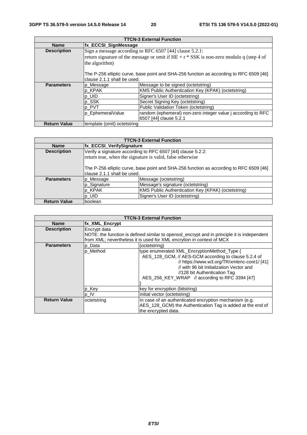| <b>TTCN-3 External Function</b> |                              |                                                                                           |  |
|---------------------------------|------------------------------|-------------------------------------------------------------------------------------------|--|
| <b>Name</b>                     |                              | fx_ECCSI_SignMessage                                                                      |  |
| <b>Description</b>              |                              | Sign a message according to RFC 6507 [44] clause 5.2.1:                                   |  |
|                                 |                              | return signature of the message or omit if $HE + r * SSK$ is non-zero modulo q (step 4 of |  |
|                                 | the algorithm)               |                                                                                           |  |
|                                 |                              |                                                                                           |  |
|                                 |                              | The P-256 elliptic curve, base point and SHA-256 function as according to RFC 6509 [46]   |  |
|                                 | lclause 2.1.1 shall be used. |                                                                                           |  |
| <b>Parameters</b>               | p_Message                    | Message to be signed (octetstring)                                                        |  |
|                                 | p_KPAK                       | KMS Public Authentication Key (KPAK) (octetstring)                                        |  |
|                                 | $p$ _UID                     | Signer's User ID (octetstring)                                                            |  |
|                                 | p_SSK                        | Secret Signing Key (octetstring)                                                          |  |
|                                 | p_PVT                        | Public Validation Token (octetstring)                                                     |  |
|                                 | p_EphemeralValue             | random (ephemeral) non-zero integer value j according to RFC                              |  |
|                                 |                              | 6507 [44] clause 5.2.1                                                                    |  |
| <b>Return Value</b>             | template (omit) octetstring  |                                                                                           |  |

| <b>TTCN-3 External Function</b> |                                                                                                                         |                                                             |  |
|---------------------------------|-------------------------------------------------------------------------------------------------------------------------|-------------------------------------------------------------|--|
| <b>Name</b>                     | <b>fx_ECCSI_VerifySignature</b>                                                                                         |                                                             |  |
| <b>Description</b>              |                                                                                                                         | Verify a signature according to RFC 6507 [44] clause 5.2.2: |  |
|                                 |                                                                                                                         | return true, when the signature is valid, false otherwise   |  |
|                                 | The P-256 elliptic curve, base point and SHA-256 function as according to RFC 6509 [46]<br>Iclause 2.1.1 shall be used. |                                                             |  |
| <b>Parameters</b>               | p Message                                                                                                               | Message (octetstring)                                       |  |
|                                 | p_Signature                                                                                                             | Message's signature (octetstring)                           |  |
|                                 | p_KPAK                                                                                                                  | KMS Public Authentication Key (KPAK) (octetstring)          |  |
|                                 | p_UID                                                                                                                   | Signer's User ID (octetstring)                              |  |
| <b>Return Value</b>             | Iboolean                                                                                                                |                                                             |  |

| <b>TTCN-3 External Function</b> |                |                                                                                                                                                                                                                                                                                  |
|---------------------------------|----------------|----------------------------------------------------------------------------------------------------------------------------------------------------------------------------------------------------------------------------------------------------------------------------------|
| <b>Name</b>                     | fx XML Encrypt |                                                                                                                                                                                                                                                                                  |
| <b>Description</b>              | Encrypt data   | NOTE: the function is defined similar to openssl_encrypt and in principle it is independent<br>from XML; nevertheless it is used for XML encrytion in context of MCX                                                                                                             |
| <b>Parameters</b>               | p Data         | (octetstring)                                                                                                                                                                                                                                                                    |
|                                 | p_Method       | type enumerated XML_EncryptionMethod_Type {<br>AES_128_GCM, // AES-GCM according to clause 5.2.4 of<br>// https://www.w3.org/TR/xmlenc-core1/ [41]<br>// with 96 bit Initialization Vector and<br>//128 bit Authentication Tag<br>AES 256 KEY WRAP // according to RFC 3394 [47] |
|                                 | p_Key          | key for encryption (bitstring)                                                                                                                                                                                                                                                   |
|                                 | p IV           | initial vector (octetstring)                                                                                                                                                                                                                                                     |
| <b>Return Value</b>             | octetstring    | In case of an authenticated encryption mechanism (e.g.<br>AES_128_GCM) the Authentication Tag is added at the end of<br>the encrypted data.                                                                                                                                      |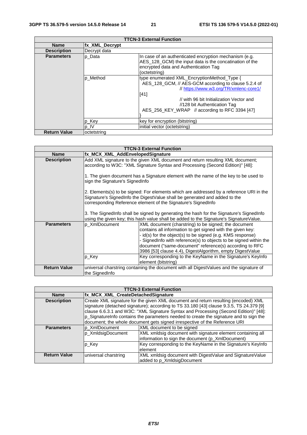|                     |                        | <b>TTCN-3 External Function</b>                                                                                                                                                                                                                                                       |
|---------------------|------------------------|---------------------------------------------------------------------------------------------------------------------------------------------------------------------------------------------------------------------------------------------------------------------------------------|
| <b>Name</b>         | <b>Ifx XML Decrypt</b> |                                                                                                                                                                                                                                                                                       |
| <b>Description</b>  | Decrypt data           |                                                                                                                                                                                                                                                                                       |
| <b>Parameters</b>   | p Data                 | In case of an authenticated encryption mechanism (e.g.<br>AES_128_GCM) the input data is the concatination of the<br>encrypted data and Authentication Tag<br>(octetstring)                                                                                                           |
|                     | p Method               | type enumerated XML EncryptionMethod Type {<br>AES_128_GCM, // AES-GCM according to clause 5.2.4 of<br>// https://www.w3.org/TR/xmlenc-core1/<br>$[41]$<br>// with 96 bit Initialization Vector and<br>//128 bit Authentication Tag<br>AES_256_KEY_WRAP // according to RFC 3394 [47] |
|                     | p_Key                  | key for encryption (bitstring)                                                                                                                                                                                                                                                        |
|                     | ¶p_IV                  | linitial vector (octetstring)                                                                                                                                                                                                                                                         |
| <b>Return Value</b> | loctetstring           |                                                                                                                                                                                                                                                                                       |

| <b>TTCN-3 External Function</b> |                                                                                                                                                                                                                                                                                             |                                                                                                                                                                                                                                                                                                                                                                               |
|---------------------------------|---------------------------------------------------------------------------------------------------------------------------------------------------------------------------------------------------------------------------------------------------------------------------------------------|-------------------------------------------------------------------------------------------------------------------------------------------------------------------------------------------------------------------------------------------------------------------------------------------------------------------------------------------------------------------------------|
| <b>Name</b>                     | fx_MCX_XML_AddEnvelopedSignature                                                                                                                                                                                                                                                            |                                                                                                                                                                                                                                                                                                                                                                               |
| <b>Description</b>              | Add XML signature to the given XML document and return resulting XML document;<br>according to W3C: "XML Signature Syntax and Processing (Second Edition)" [48]:<br>1. The given document has a Signature element with the name of the key to be used to<br>sign the Signature's SignedInfo |                                                                                                                                                                                                                                                                                                                                                                               |
|                                 |                                                                                                                                                                                                                                                                                             |                                                                                                                                                                                                                                                                                                                                                                               |
|                                 | 2. Elements(s) to be signed: For elements which are addressed by a reference URI in the<br>Signature's SignedInfo the DigestValue shall be generated and added to the<br>corresponding Reference element of the Signature's SignedInfo                                                      |                                                                                                                                                                                                                                                                                                                                                                               |
|                                 | 3. The SignedInfo shall be signed by generating the hash for the Signature's SignedInfo<br>using the given key; this hash value shall be added to the Signature's SignatureValue.                                                                                                           |                                                                                                                                                                                                                                                                                                                                                                               |
| <b>Parameters</b>               | p XmlDocument                                                                                                                                                                                                                                                                               | XML document (charstring) to be signed; the document<br>contains all information to get signed with the given key:<br>- id(s) for the object(s) to be signed (e.g. KMS response)<br>- SignedInfo with reference(s) to objects to be signed within the<br>document ("same-document" reference(s) according to RFC<br>3986 [53] clause 4.4), DigestAlgorithm, empty DigestValue |
|                                 | p_Key                                                                                                                                                                                                                                                                                       | Key corresponding to the KeyName in the Signature's KeyInfo<br>element (bitstring)                                                                                                                                                                                                                                                                                            |
| <b>Return Value</b>             | the SignedInfo                                                                                                                                                                                                                                                                              | universal charstring containing the document with all DigestValues and the signature of                                                                                                                                                                                                                                                                                       |

| <b>TTCN-3 External Function</b> |                                                                                                                                                                                                                                                                                                                                                                                                                                               |                                                                                                                |
|---------------------------------|-----------------------------------------------------------------------------------------------------------------------------------------------------------------------------------------------------------------------------------------------------------------------------------------------------------------------------------------------------------------------------------------------------------------------------------------------|----------------------------------------------------------------------------------------------------------------|
| <b>Name</b>                     | fx_MCX_XML_CreateDetachedSignature                                                                                                                                                                                                                                                                                                                                                                                                            |                                                                                                                |
| <b>Description</b>              | Create XML signature for the given XML document and return resulting (encoded) XML<br>signature (detached signature); according to TS 33.180 [43] clause 9.3.5, TS 24.379 [9]<br>clause 6.6.3.1 and W3C: "XML Signature Syntax and Processing (Second Edition)" [48]:<br>p_SignatureInfo contains the parameters needed to create the signature and to sign the<br>document; the whole document gets signed irrespective of the Reference URI |                                                                                                                |
| <b>Parameters</b>               | p_XmlDocument                                                                                                                                                                                                                                                                                                                                                                                                                                 | XML document to be signed                                                                                      |
|                                 | p_XmldsigDocument                                                                                                                                                                                                                                                                                                                                                                                                                             | XML xmldsig document with signature element containing all<br>information to sign the document (p_XmlDocument) |
|                                 | p Key                                                                                                                                                                                                                                                                                                                                                                                                                                         | Key corresponding to the KeyName in the Signature's KeyInfo<br>element                                         |
| <b>Return Value</b>             | universal charstring                                                                                                                                                                                                                                                                                                                                                                                                                          | XML xmldsig document with DigestValue and SignatureValue<br>added to p_XmldsigDocument                         |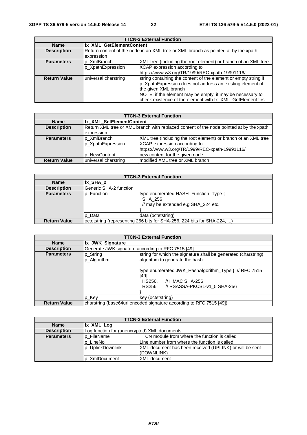| <b>TTCN-3 External Function</b> |                                                                                                  |                                                                                                                                                                                                                                                                                  |  |
|---------------------------------|--------------------------------------------------------------------------------------------------|----------------------------------------------------------------------------------------------------------------------------------------------------------------------------------------------------------------------------------------------------------------------------------|--|
| <b>Name</b>                     |                                                                                                  | <b>Ifx XML GetElementContent</b>                                                                                                                                                                                                                                                 |  |
| <b>Description</b>              | Return content of the node in an XML tree or XML branch as pointed at by the xpath<br>expression |                                                                                                                                                                                                                                                                                  |  |
| <b>Parameters</b>               | p XmlBranch                                                                                      | XML tree (including the root element) or branch ot an XML tree                                                                                                                                                                                                                   |  |
|                                 | p XpathExpression                                                                                | XCAP expression according to                                                                                                                                                                                                                                                     |  |
|                                 |                                                                                                  | https://www.w3.org/TR/1999/REC-xpath-19991116/                                                                                                                                                                                                                                   |  |
| <b>Return Value</b>             | universal charstring                                                                             | string containing the content of the element or empty string if<br>p_XpathExpression does not address an existing element of<br>the given XML branch<br>NOTE: if the element may be empty, it may be necessary to<br>check existence of the element with fx_XML_GetElement first |  |

| <b>TTCN-3 External Function</b> |                      |                                                                                         |  |
|---------------------------------|----------------------|-----------------------------------------------------------------------------------------|--|
| <b>Name</b>                     |                      | <b>Ifx XML SetElementContent</b>                                                        |  |
| <b>Description</b>              |                      | Return XML tree or XML branch with replaced content of the node pointed at by the xpath |  |
|                                 | expression           |                                                                                         |  |
| <b>Parameters</b>               | p XmlBranch          | XML tree (including the root element) or branch ot an XML tree                          |  |
|                                 | p_XpathExpression    | XCAP expression according to                                                            |  |
|                                 |                      | https://www.w3.org/TR/1999/REC-xpath-19991116/                                          |  |
|                                 | p NewContent         | new content for the given node                                                          |  |
| <b>Return Value</b>             | universal charstring | modified XML tree or XML branch                                                         |  |

| <b>TTCN-3 External Function</b> |                                                                         |                                                                                        |
|---------------------------------|-------------------------------------------------------------------------|----------------------------------------------------------------------------------------|
| <b>Name</b>                     | $\overline{K}$ SHA 2                                                    |                                                                                        |
| <b>Description</b>              | <b>IGeneric SHA-2 function</b>                                          |                                                                                        |
| <b>Parameters</b>               | p_Function                                                              | type enumerated HASH_Function_Type {<br>SHA 256<br>// may be extended e.g SHA_224 etc. |
|                                 | lp Data                                                                 | data (octetstring)                                                                     |
| <b>Return Value</b>             | octetstring (representing 256 bits for SHA-256, 224 bits for SHA-224, ) |                                                                                        |

| <b>TTCN-3 External Function</b> |                                                                     |                                                                                                                                                |
|---------------------------------|---------------------------------------------------------------------|------------------------------------------------------------------------------------------------------------------------------------------------|
| <b>Name</b>                     | <b>fx JWK Signature</b>                                             |                                                                                                                                                |
| <b>Description</b>              |                                                                     | Generate JWK signature according to RFC 7515 [49]                                                                                              |
| <b>Parameters</b>               | p_String                                                            | string for which the signature shall be generated (charstring)                                                                                 |
|                                 | p_Algorithm                                                         | algorithm to generate the hash:                                                                                                                |
|                                 |                                                                     | type enumerated JWK_HashAlgorithm_Type { // RFC 7515<br>[49]<br>HS256.<br>$\prime\prime$ HMAC SHA-256<br>// RSASSA-PKCS1-v1 5 SHA-256<br>RS256 |
|                                 | p Key                                                               | key (octetstring)                                                                                                                              |
| <b>Return Value</b>             | charstring (base64url encoded signature according to RFC 7515 [49]) |                                                                                                                                                |

| <b>TTCN-3 External Function</b> |                                                           |                                                         |  |  |  |
|---------------------------------|-----------------------------------------------------------|---------------------------------------------------------|--|--|--|
| <b>Name</b>                     | <b>Ifx XML Log</b>                                        |                                                         |  |  |  |
| <b>Description</b>              |                                                           | Log function for (unencrypted) XML documents            |  |  |  |
| <b>Parameters</b>               | <b>p</b> FileName                                         | TTCN module from where the function is called           |  |  |  |
|                                 | Line number from where the function is called<br>p_LineNo |                                                         |  |  |  |
|                                 | p_UplinkDownlink                                          | XML document has been received (UPLINK) or will be sent |  |  |  |
|                                 |                                                           | (DOWNLINK)                                              |  |  |  |
|                                 | p XmlDocument                                             | <b>XML</b> document                                     |  |  |  |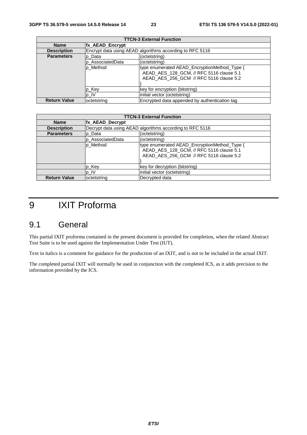| <b>TTCN-3 External Function</b> |                        |                                                                                                                                     |  |  |  |
|---------------------------------|------------------------|-------------------------------------------------------------------------------------------------------------------------------------|--|--|--|
| <b>Name</b>                     | <b>fx AEAD Encrypt</b> |                                                                                                                                     |  |  |  |
| <b>Description</b>              |                        | Encrypt data using AEAD algorithms according to RFC 5116                                                                            |  |  |  |
| <b>Parameters</b>               | p Data                 | (octetstring)                                                                                                                       |  |  |  |
|                                 | AssociatedData         | (octetstring)                                                                                                                       |  |  |  |
|                                 | p Method               | type enumerated AEAD_EncryptionMethod_Type {<br>AEAD AES 128 GCM, // RFC 5116 clause 5.1<br>AEAD_AES_256_GCM // RFC 5116 clause 5.2 |  |  |  |
|                                 | p_Key                  | key for encryption (bitstring)                                                                                                      |  |  |  |
|                                 | p_IV                   | initial vector (octetstring)                                                                                                        |  |  |  |
| <b>Return Value</b>             | octetstring            | Encrypted data appended by authentication tag                                                                                       |  |  |  |

| <b>TTCN-3 External Function</b> |                  |                                                                                                                                     |  |  |
|---------------------------------|------------------|-------------------------------------------------------------------------------------------------------------------------------------|--|--|
| <b>Name</b>                     | fx_AEAD_Decrypt  |                                                                                                                                     |  |  |
| <b>Description</b>              |                  | Decrypt data using AEAD algorithms according to RFC 5116                                                                            |  |  |
| <b>Parameters</b>               | p Data           | (octetstring)                                                                                                                       |  |  |
|                                 | p AssociatedData | (octetstring)                                                                                                                       |  |  |
|                                 | p Method         | type enumerated AEAD_EncryptionMethod_Type {<br>AEAD AES 128 GCM, // RFC 5116 clause 5.1<br>AEAD_AES_256_GCM // RFC 5116 clause 5.2 |  |  |
|                                 | lp_Key           | key for decryption (bitstring)                                                                                                      |  |  |
|                                 | p IV             | initial vector (octetstring)                                                                                                        |  |  |
| <b>Return Value</b>             | octetstring      | Decrypted data                                                                                                                      |  |  |

# 9 IXIT Proforma

# 9.1 General

This partial IXIT proforma contained in the present document is provided for completion, when the related Abstract Test Suite is to be used against the Implementation Under Test (IUT).

Text in italics is a comment for guidance for the production of an IXIT, and is not to be included in the actual IXIT.

The completed partial IXIT will normally be used in conjunction with the completed ICS, as it adds precision to the information provided by the ICS.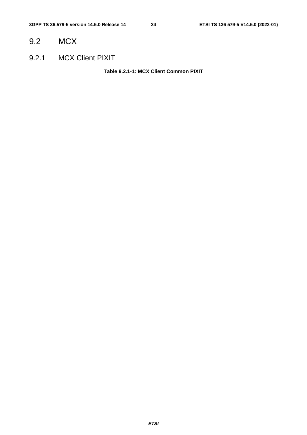# 9.2 MCX

9.2.1 MCX Client PIXIT

**Table 9.2.1-1: MCX Client Common PIXIT**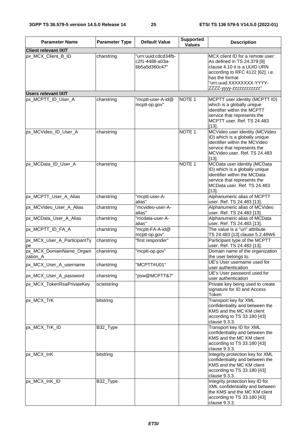| <b>Parameter Name</b>                | <b>Parameter Type</b> | <b>Default Value</b>                                    | <b>Supported</b><br><b>Values</b> | <b>Description</b>                                                                                                                                                                                            |
|--------------------------------------|-----------------------|---------------------------------------------------------|-----------------------------------|---------------------------------------------------------------------------------------------------------------------------------------------------------------------------------------------------------------|
| <b>Client relevant IXIT</b>          |                       |                                                         |                                   |                                                                                                                                                                                                               |
| px_MCX_Client_B_ID                   | charstring            | 'urn:uuid:cdcd34fb-<br>c2f1-4488-a03a-<br>6b5a5d360c47" |                                   | MCX client ID for a remote user:<br>As defined in TS 24.379 [9]<br>clause 4.10 it is a UUID URN<br>according to RFC 4122 [62], i.e.<br>has the format<br>"urn:uuid:XXXXXXXX-YYYY-<br>ZZZZ-yyyy-zzzzzzzzzzzzz" |
| <b>Users relevant IXIT</b>           |                       |                                                         |                                   |                                                                                                                                                                                                               |
| px_MCPTT_ID_User_A                   | charstring            | 'mcptt-user-A-id@<br>mcptt-op.gov"                      | NOTE <sub>1</sub>                 | MCPTT user identity (MCPTT ID)<br>which is a globally unique<br>identifier within the MCPTT<br>service that represents the<br>MCPTT user. Ref. TS 24.483<br>$[13]$ .                                          |
| px_MCVideo_ID_User_A                 | charstring            |                                                         | NOTE <sub>1</sub>                 | MCVideo user identity (MCVideo<br>ID) which is a globally unique<br>identifier within the MCVideo<br>service that represents the<br>MCVideo user. Ref. TS 24.483<br>$[13]$ .                                  |
| px_MCData_ID_User_A                  | charstring            |                                                         | NOTE <sub>1</sub>                 | MCData user identity (MCData<br>ID) which is a globally unique<br>identifier within the MCData<br>service that represents the<br>MCData user, Ref. TS 24.483<br>$[13]$ .                                      |
| px_MCPTT_User_A_Alias                | charstring            | 'mcptt-user-A-<br>alias"                                |                                   | Alphanumeric alias of MCPTT<br>user. Ref. TS 24.483 [13].                                                                                                                                                     |
| px_MCVideo_User_A_Alias              | charstring            | "mcvideo-user-A-<br>alias"                              |                                   | Alphanumeric alias of MCVideo<br>user. Ref. TS 24.483 [13].                                                                                                                                                   |
| px_MCData_User_A_Alias               | charstring            | "mcdata-user-A-<br>alias"                               |                                   | Alphanumeric alias of MCData<br>user. Ref. TS 24.483 [13].                                                                                                                                                    |
| px_MCPTT_ID_FA_A                     | charstring            | "mcptt-FA-A-id@<br>mcptt-op.gov"                        |                                   | The value is a "uri" attribute.<br>TS 24.483 [13] clause 5.2.48W6                                                                                                                                             |
| px_MCX_User_A_ParticipantTy<br>pe    | charstring            | "first responder"                                       |                                   | Participant type of the MCPTT<br>user. Ref. TS 24.483 [13].                                                                                                                                                   |
| px_MCX_DomainName_Organi<br>zation_A | charstring            | "mcptt-op.gov"                                          |                                   | Domain name of the organization<br>the user belongs to.                                                                                                                                                       |
| px_MCX_User_A_username               | charstring            | "MCPTT#U01"                                             |                                   | UE's User username used for<br>user authentication                                                                                                                                                            |
| px_MCX_User_A_password               | charstring            | "psw@MCPTT&7"                                           |                                   | UE's User password used for<br>user authentication                                                                                                                                                            |
| px_MCX_TokenRsaPrivateKey            | octetstring           |                                                         |                                   | Private key being used to create<br>signature for ID and Access<br>Token                                                                                                                                      |
| px_MCX_TrK                           | bitstring             |                                                         |                                   | Transport key for XML<br>confidentiality and between the<br>KMS and the MC KM client<br>according to TS 33.180 [43]<br>clause 9.3.3.                                                                          |
| px MCX_TrK_ID                        | B32_Type              |                                                         |                                   | Transport key ID for XML<br>confidentiality and between the<br>KMS and the MC KM client<br>according to TS 33.180 [43]<br>clause 9.3.3.                                                                       |
| px_MCX_InK                           | bitstring             |                                                         |                                   | Integrity protection key for XML<br>confidentiality and between the<br>KMS and the MC KM client<br>according to TS 33.180 [43]<br>clause 9.3.3.                                                               |
| px_MCX_InK_ID                        | B32_Type              |                                                         |                                   | Integrity protection key ID for<br>XML confidentiality and between<br>the KMS and the MC KM client<br>according to TS 33.180 [43]<br>clause 9.3.3.                                                            |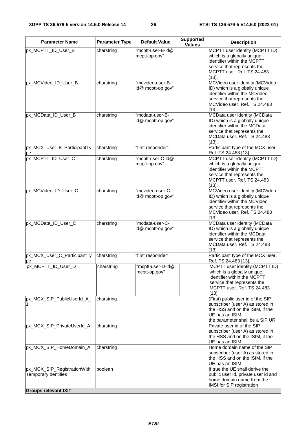| <b>Parameter Name</b>                              | <b>Parameter Type</b> | <b>Default Value</b>                  | <b>Supported</b><br><b>Values</b> | <b>Description</b>                                                                                                                                                           |
|----------------------------------------------------|-----------------------|---------------------------------------|-----------------------------------|------------------------------------------------------------------------------------------------------------------------------------------------------------------------------|
| px_MCPTT_ID_User_B                                 | charstring            | "mcptt-user-B-id@<br>mcptt-op.gov"    |                                   | MCPTT user identity (MCPTT ID)<br>which is a globally unique<br>identifier within the MCPTT<br>service that represents the<br>MCPTT user. Ref. TS 24.483<br>$[13]$ .         |
| px_MCVideo_ID_User_B                               | charstring            | "mcvideo-user-B-<br>id@ mcptt-op.gov" |                                   | MCVideo user identity (MCVideo<br>ID) which is a globally unique<br>identifier within the MCVideo<br>service that represents the<br>MCVideo user, Ref. TS 24.483<br>$[13]$ . |
| px_MCData_ID_User_B                                | charstring            | "mcdata-user-B-<br>id@ mcptt-op.gov"  |                                   | MCData user identity (MCData<br>ID) which is a globally unique<br>identifier within the MCData<br>service that represents the<br>MCData user. Ref. TS 24.483<br>$[13]$ .     |
| px_MCX_User_B_ParticipantTy<br>pe                  | charstring            | "first responder"                     |                                   | Participant type of the MCX user.<br>Ref. TS 24.483 [13].                                                                                                                    |
| px_MCPTT_ID_User_C                                 | charstring            | "mcptt-user-C-id@<br>mcptt-op.gov"    |                                   | MCPTT user identity (MCPTT ID)<br>which is a globally unique<br>identifier within the MCPTT<br>service that represents the<br>MCPTT user. Ref. TS 24.483<br>$[13]$ .         |
| px_MCVideo_ID_User_C                               | charstring            | "mcvideo-user-C-<br>id@ mcptt-op.gov" |                                   | MCVideo user identity (MCVideo<br>ID) which is a globally unique<br>identifier within the MCVideo<br>service that represents the<br>MCVideo user. Ref. TS 24.483<br>$[13]$ . |
| px_MCData_ID_User_C                                | charstring            | "mcdata-user-C-<br>id@ mcptt-op.gov"  |                                   | MCData user identity (MCData<br>ID) which is a globally unique<br>identifier within the MCData<br>service that represents the<br>MCData user. Ref. TS 24.483<br>$[13]$ .     |
| px_MCX_User_C_ParticipantTy<br>pe                  | charstring            | "first responder"                     |                                   | Participant type of the MCX user.<br>Ref. TS 24.483 [13].                                                                                                                    |
| px_MCPTT_ID_User_D                                 | charstring            | "mcptt-user-D-id@<br>mcptt-op.gov"    |                                   | MCPTT user identity (MCPTT ID)<br>which is a globally unique<br>identifier within the MCPTT<br>service that represents the<br>MCPTT user, Ref. TS 24.483<br>$[13]$ .         |
| px_MCX_SIP_PublicUserId_A_                         | charstring            |                                       |                                   | (First) public user id of the SIP<br>subscriber (user A) as stored in<br>the HSS and on the ISIM, if the<br>UE has an ISIM;<br>the parameter shall be a SIP URI              |
| px_MCX_SIP_PrivateUserId_A                         | charstring            |                                       |                                   | Private user id of the SIP<br>subscriber (user A) as stored in<br>the HSS and on the ISIM, if the<br>UE has an ISIM                                                          |
| px_MCX_SIP_HomeDomain_A                            | charstring            |                                       |                                   | Home domain name of the SIP<br>subscriber (user A) as stored in<br>the HSS and on the ISIM, if the<br>UE has an ISIM                                                         |
| px_MCX_SIP_RegistrationWith<br>TemporaryIdentities | boolean               |                                       |                                   | If true the UE shall derive the<br>public user id, private user id and<br>home domain name from the<br>IMSI for SIP registration                                             |
| <b>Groups relevant IXIT</b>                        |                       |                                       |                                   |                                                                                                                                                                              |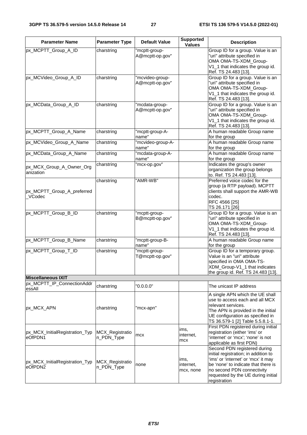| <b>Parameter Name</b>                     | <b>Parameter Type</b>         | <b>Default Value</b>               | <b>Supported</b><br><b>Values</b> | <b>Description</b>                                                                                                                                                                                                                     |
|-------------------------------------------|-------------------------------|------------------------------------|-----------------------------------|----------------------------------------------------------------------------------------------------------------------------------------------------------------------------------------------------------------------------------------|
| px_MCPTT_Group_A_ID                       | charstring                    | 'mcptt-group-<br>A@mcptt-op.gov"   |                                   | Group ID for a group. Value is an<br>"uri" attribute specified in<br>OMA OMA-TS-XDM Group-<br>V1_1 that indicates the group id.<br>Ref. TS 24.483 [13].                                                                                |
| px_MCVideo_Group_A_ID                     | charstring                    | "mcvideo-group-<br>A@mcptt-op.gov" |                                   | Group ID for a group. Value is an<br>"uri" attribute specified in<br>OMA OMA-TS-XDM_Group-<br>V1_1 that indicates the group id.<br>Ref. TS 24.483 [13].                                                                                |
| px_MCData_Group_A_ID                      | charstring                    | "mcdata-group-<br>A@mcptt-op.gov"  |                                   | Group ID for a group. Value is an<br>"uri" attribute specified in<br>OMA OMA-TS-XDM_Group-<br>V1_1 that indicates the group id.<br>Ref. TS 24.483 [13].                                                                                |
| px_MCPTT_Group_A_Name                     | charstring                    | "mcptt-group-A-<br>name"           |                                   | A human readable Group name<br>for the group                                                                                                                                                                                           |
| px_MCVideo_Group_A_Name                   | charstring                    | 'mcvideo-group-A-<br>name"         |                                   | A human readable Group name<br>for the group                                                                                                                                                                                           |
| px_MCData_Group_A_Name                    | charstring                    | 'mcdata-group-A-<br>name"          |                                   | A human readable Group name<br>for the group                                                                                                                                                                                           |
| px_MCX_Group_A_Owner_Org<br>anization     | charstring                    | "mcx-op.gov"                       |                                   | Indicates the group's owner<br>organization the group belongs<br>to. Ref. TS 24.483 [13].                                                                                                                                              |
| px_MCPTT_Group_A_preferred<br>VCodec      | charstring                    | "AMR-WB"                           |                                   | Preferred voice codec for the<br>group (a RTP payload). MCPTT<br>clients shall support the AMR-WB<br>codec.<br>RFC 4566 [25]<br>TS 26.171 [26]                                                                                         |
| px_MCPTT_Group_B_ID                       | charstring                    | "mcptt-group-<br>B@mcptt-op.gov"   |                                   | Group ID for a group. Value is an<br>"uri" attribute specified in<br>OMA OMA-TS-XDM_Group-<br>V1_1 that indicates the group id.<br>Ref. TS 24.483 [13].                                                                                |
| px_MCPTT_Group_B_Name                     | charstring                    | "mcptt-group-B-<br>name"           |                                   | A human readable Group name<br>for the group                                                                                                                                                                                           |
| px_MCPTT_Group_T_ID                       | charstring                    | 'mcptt-group-<br>T@mcptt-op.gov"   |                                   | Group ID for a temporary group.<br>Value is an "uri" attribute<br>specified in OMA OMA-TS-<br>XDM_Group-V1_1 that indicates<br>the group id. Ref. TS 24.483 [13].                                                                      |
| <b>Miscellaneous IXIT</b>                 |                               |                                    |                                   |                                                                                                                                                                                                                                        |
| px_MCPTT_IP_ConnectionAddr<br>essAll      | charstring                    | "0.0.0.0"                          |                                   | The unicast IP address                                                                                                                                                                                                                 |
| px_MCX_APN                                | charstring                    | 'mcx-apn"                          |                                   | A single APN which the UE shall<br>use to access each and all MCX<br>relevant services.<br>The APN is provided in the initial<br>UE configuration as specified in<br>TS 36.579-1 [2] Table 5.5.8.1-1.                                  |
| px_MCX_InitialRegistration_Typ<br>eOfPDN1 | MCX_Registratio<br>n_PDN_Type | mcx                                | ims,<br>internet,<br>mcx          | First PDN registered during initial<br>registration (either 'ims' or<br>'internet' or 'mcx'; 'none' is not<br>applicable as first PDN)                                                                                                 |
| px_MCX_InitialRegistration_Typ<br>eOfPDN2 | MCX_Registratio<br>n_PDN_Type | none                               | ims,<br>internet,<br>mcx, none    | Second PDN registered during<br>initial registration; in addition to<br>'ims' or 'internet' or 'mcx' it may<br>be 'none' to indicate that there is<br>no second PDN connectivity<br>requested by the UE during initial<br>registration |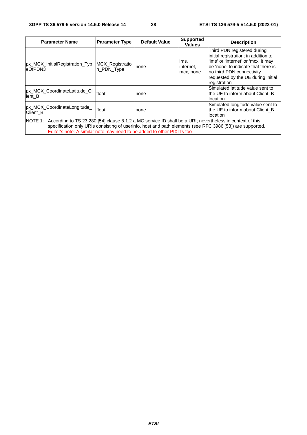| <b>Parameter Name</b>                                                                                                                                                                                                                                                                                   | <b>Parameter Type</b>          | <b>Default Value</b> | <b>Supported</b><br><b>Values</b> | <b>Description</b>                                                                                                                                                                                                                    |
|---------------------------------------------------------------------------------------------------------------------------------------------------------------------------------------------------------------------------------------------------------------------------------------------------------|--------------------------------|----------------------|-----------------------------------|---------------------------------------------------------------------------------------------------------------------------------------------------------------------------------------------------------------------------------------|
| px_MCX_InitialRegistration_Typ<br>leOfPDN3                                                                                                                                                                                                                                                              | MCX_Registratio<br>In PDN Type | none                 | ims,<br>internet,<br>mcx, none    | Third PDN registered during<br>initial registration; in addition to<br>'ims' or 'internet' or 'mcx' it may<br>lbe 'none' to indicate that there is<br>no third PDN connectivity<br>requested by the UE during initial<br>registration |
| px_MCX_CoordinateLatitude_CI<br>lient B                                                                                                                                                                                                                                                                 | float                          | none                 |                                   | Simulated latitude value sent to<br>the UE to inform about Client B<br>location                                                                                                                                                       |
| px_MCX_CoordinateLongitude_<br>Client B                                                                                                                                                                                                                                                                 | float                          | none                 |                                   | Simulated longitude value sent to<br>the UE to inform about Client B<br>llocation                                                                                                                                                     |
| NOTE 1: According to TS 23.280 [54] clause 8.1.2 a MC service ID shall be a URI; nevertheless in context of this<br>specification only URIs consisting of userinfo, host and path elements (see RFC 3986 [53]) are supported.<br>Editor's note: A similar note may need to be added to other PIXITs too |                                |                      |                                   |                                                                                                                                                                                                                                       |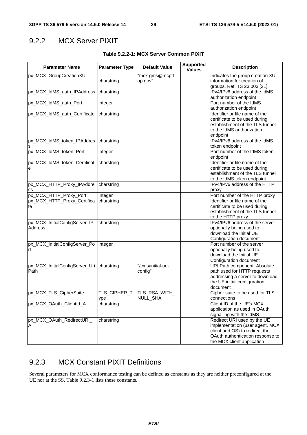# 9.2.2 MCX Server PIXIT

| <b>Parameter Name</b>                             | <b>Parameter Type</b> | <b>Default Value</b>                   | <b>Supported</b><br><b>Values</b> | <b>Description</b>                                                                                                                                                 |
|---------------------------------------------------|-----------------------|----------------------------------------|-----------------------------------|--------------------------------------------------------------------------------------------------------------------------------------------------------------------|
| px_MCX_GroupCreationXUI                           | charstring            | "mcx-gms@mcptt-<br>op.gov"             |                                   | Indicates the group creation XUI<br>information for creation of<br>groups. Ref. TS 23.003 [21].                                                                    |
| px MCX IdMS auth IPAddress                        | charstring            |                                        |                                   | IPv4/IPv6 address of the IdMS<br>authorization endpoint                                                                                                            |
| px_MCX_IdMS_auth_Port                             | integer               |                                        |                                   | Port number of the IdMS<br>authorization endpoint                                                                                                                  |
| px_MCX_IdMS_auth_Certificate                      | charstring            |                                        |                                   | Identifier or file name of the<br>certificate to be used during<br>establishment of the TLS tunnel<br>to the IdMS authorization<br>endpoint                        |
| px_MCX_IdMS_token_IPAddres<br>s                   | charstring            |                                        |                                   | IPv4/IPv6 address of the IdMS<br>token endpoint                                                                                                                    |
| px_MCX_IdMS_token_Port                            | integer               |                                        |                                   | Port number of the IdMS token<br>endpoint                                                                                                                          |
| px_MCX_IdMS_token_Certificat<br>e                 | charstring            |                                        |                                   | Identifier or file name of the<br>certificate to be used during<br>establishment of the TLS tunnel<br>to the IdMS token endpoint                                   |
| px_MCX_HTTP_Proxy_IPAddre<br>SS                   | charstring            |                                        |                                   | IPv4/IPv6 address of the HTTP<br>proxy                                                                                                                             |
| px_MCX_HTTP_Proxy_Port                            | integer               |                                        |                                   | Port number of the HTTP proxy                                                                                                                                      |
| px_MCX_HTTP_Proxy_Certifica<br>te                 | charstring            |                                        |                                   | Identifier or file name of the<br>certificate to be used during<br>establishment of the TLS tunnel<br>to the HTTP proxy                                            |
| px_MCX_InitialConfigServer_IP<br><b>Address</b>   | charstring            |                                        |                                   | IPv4/IPv6 address of the server<br>optionally being used to<br>download the Initial UE<br>Configuration document                                                   |
| px_MCX_InitialConfigServer_Po<br>rt               | linteger              |                                        |                                   | Port number of the server<br>optionally being used to<br>download the Initial UE<br>Configuration document                                                         |
| px_MCX_InitialConfigServer_Uri charstring<br>Path |                       | "/cms/initial-ue-<br>config"           |                                   | URI Path component: Absolute<br>path used for HTTP requests<br>addressing a server to download<br>the UE initial configuration<br>document                         |
| px_MCX_TLS_CipherSuite                            | ype                   | TLS_CIPHER_T  TLS_RSA_WITH<br>NULL_SHA |                                   | Cipher suite to be used for TLS<br>connections                                                                                                                     |
| px_MCX_OAuth_ClientId_A                           | charstring            |                                        |                                   | Client ID of the UE's MCX<br>application as used in OAuth<br>signalling with the IdMS                                                                              |
| px_MCX_OAuth_RedirectURI_<br>Α                    | charstring            |                                        |                                   | Redirect URI used by the UE<br>implementation (user agent, MCX<br>client and OS) to redirect the<br>OAuth authentication response to<br>the MCX client application |

### **Table 9.2.2-1: MCX Server Common PIXIT**

# 9.2.3 MCX Constant PIXIT Definitions

Several parameters for MCX conformance testing can be defined as constants as they are neither preconfigured at the UE nor at the SS. Table 9.2.3-1 lists these constants.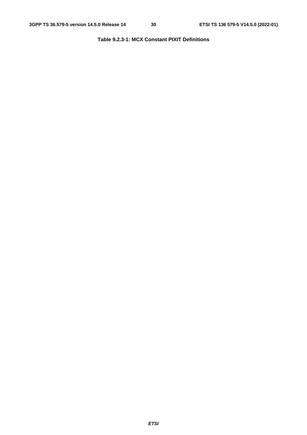### **Table 9.2.3-1: MCX Constant PIXIT Definitions**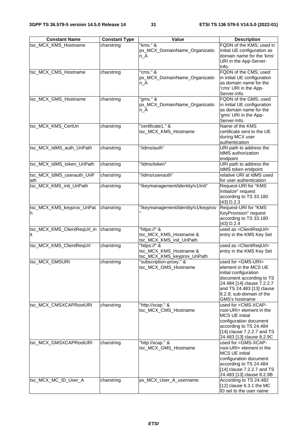| <b>Constant Name</b>        | <b>Constant Type</b> | Value                               | <b>Description</b>                                         |
|-----------------------------|----------------------|-------------------------------------|------------------------------------------------------------|
| tsc_MCX_KMS_Hostname        | charstring           | "kms." &                            | FQDN of the KMS; used in                                   |
|                             |                      | px_MCX_DomainName_Organizatio       | initial UE configuration as                                |
|                             |                      | $n_A$                               | domain name for the 'kms'                                  |
|                             |                      |                                     | URI in the App-Server-                                     |
|                             |                      |                                     | Info.                                                      |
| tsc_MCX_CMS_Hostname        | charstring           | "cms." &                            | FQDN of the CMS; used                                      |
|                             |                      | px_MCX_DomainName_Organizatio       | in initial UE configuration                                |
|                             |                      | n_A                                 | as domain name for the                                     |
|                             |                      |                                     | 'cms' URI in the App-                                      |
|                             |                      |                                     | Server-Info.                                               |
| tsc_MCX_GMS_Hostname        | charstring           | " $qms."$ &                         | FQDN of the GMS; used                                      |
|                             |                      | px_MCX_DomainName_Organizatio       | in initial UE configuration<br>as domain name for the      |
|                             |                      | $n_A$                               | 'gms' URI in the App-                                      |
|                             |                      |                                     | Server-Info.                                               |
| tsc_MCX_KMS_CertUri         | charstring           | "certificate1." &                   | Name of the KMS                                            |
|                             |                      | tsc_MCX_KMS_Hostname                | certificate sent to the UE                                 |
|                             |                      |                                     | during MCX user                                            |
|                             |                      |                                     | authentication                                             |
| tsc_MCX_IdMS_auth_UriPath   | charstring           | "/idms/auth"                        | URI path to address the                                    |
|                             |                      |                                     | <b>IdMS</b> authorization                                  |
|                             |                      |                                     | endpoint                                                   |
| tsc_MCX_IdMS_token_UriPath  | charstring           | "/idms/token"                       | URI path to address the                                    |
|                             |                      |                                     | IdMS token endpoint                                        |
| tsc_MCX_IdMS_userauth_UriP  | charstring           | "/idms/userauth"                    | relative URI at IdMS used                                  |
| ath                         |                      |                                     | for user authentication                                    |
| tsc_MCX_KMS_init_UriPath    | charstring           | "/keymanagement/identity/v1/init"   | Request-URI for "KMS                                       |
|                             |                      |                                     | Initialize" request                                        |
|                             |                      |                                     | according to TS 33.180                                     |
|                             |                      |                                     | [43] D.2.3                                                 |
| tsc_MCX_KMS_keyprov_UriPat  | charstring           | "/keymanagement/identity/v1/keyprov | Request-URI for "KMS<br>KeyProvision" request              |
| h                           |                      |                                     | according to TS 33.180                                     |
|                             |                      |                                     | $[43]$ D.2.4                                               |
| tsc_MCX_KMS_ClientReqUrl_in | charstring           | "https://" &                        | used as <clientrequrl></clientrequrl>                      |
| it.                         |                      | tsc_MCX_KMS_Hostname &              | entry in the KMS Key Set                                   |
|                             |                      | tsc_MCX_KMS_init_UriPath            |                                                            |
| tsc_MCX_KMS_ClientReqUrl    | charstring           | "https://" &                        | used as <clientrequrl></clientrequrl>                      |
|                             |                      | tsc_MCX_KMS_Hostname &              | entry in the KMS Key Set                                   |
|                             |                      | tsc_MCX_KMS_keyprov_UriPath         |                                                            |
| tsc_MCX_GMSURI              | charstring           | "subscription-proxy." &             | used for <gms-uri></gms-uri>                               |
|                             |                      | tsc_MCX_GMS_Hostname                | element in the MCS UE                                      |
|                             |                      |                                     | initial configuration                                      |
|                             |                      |                                     | document according to TS                                   |
|                             |                      |                                     | 24.484 [14] clause 7.2.2.7                                 |
|                             |                      |                                     | and TS 24.483 [13] clause                                  |
|                             |                      |                                     | 8.2.9; sub-domain of the                                   |
| tsc_MCX_CMSXCAPRootURI      | charstring           | "http://xcap." &                    | GMS's hostname<br>used for <cms-xcap-< td=""></cms-xcap-<> |
|                             |                      | tsc_MCX_CMS_Hostname                | root-URI> element in the                                   |
|                             |                      |                                     | <b>MCS UE initial</b>                                      |
|                             |                      |                                     | configuration document                                     |
|                             |                      |                                     | according to TS 24.484                                     |
|                             |                      |                                     | [14] clause 7.2.2.7 and TS                                 |
|                             |                      |                                     | 24.483 [13] clause 8.2.9C                                  |
| tsc_MCX_GMSXCAPRootURI      | charstring           | "http://xcap." &                    | used for <gms-xcap-< td=""></gms-xcap-<>                   |
|                             |                      | tsc_MCX_GMS_Hostname                | root-URI> element in the                                   |
|                             |                      |                                     | <b>MCS UE initial</b>                                      |
|                             |                      |                                     | configuration document                                     |
|                             |                      |                                     | according to TS 24.484                                     |
|                             |                      |                                     | [14] clause 7.2.2.7 and TS                                 |
|                             |                      |                                     | 24.483 [13] clause 8.2.9B                                  |
| tsc_MCX_MC_ID_User_A        | charstring           | px_MCX_User_A_username              | According to TS 24.482<br>[12] clause $6.3.1$ the MC       |
|                             |                      |                                     | ID set to the user name                                    |
|                             |                      |                                     |                                                            |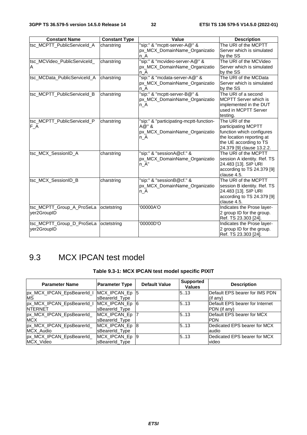| <b>Constant Name</b>                     | <b>Constant Type</b> | Value                                                                                     | <b>Description</b>                                                                                                                                     |
|------------------------------------------|----------------------|-------------------------------------------------------------------------------------------|--------------------------------------------------------------------------------------------------------------------------------------------------------|
| tsc_MCPTT_PublicServiceId_A              | charstring           | "sip:" & "mcptt-server-A@" &<br>px_MCX_DomainName_Organizatio<br>n A                      | The URI of the MCPTT<br>Server which is simulated<br>by the SS                                                                                         |
| tsc_MCVideo_PublicServiceId_<br>ΙA       | charstring           | "sip:" & "mcvideo-server-A@" &<br>px_MCX_DomainName_Organizatio<br>n A                    | The URI of the MCVideo<br>Server which is simulated<br>by the SS                                                                                       |
| tsc_MCData_PublicServiceId_A             | charstring           | "sip:" & "mcdata-server-A@" &<br>px_MCX_DomainName_Organizatio<br>n A                     | The URI of the MCData<br>Server which is simulated<br>by the SS                                                                                        |
| tsc_MCPTT_PublicServiceId_B              | charstring           | "sip:" & "mcptt-server-B@" &<br>px_MCX_DomainName_Organizatio<br>n_A                      | The URI of a second<br>MCPTT Server which is<br>implemented in the DUT<br>used in MCPTT Server<br>testing.                                             |
| tsc_MCPTT_PublicServiceId_P<br>$F_A$     | charstring           | "sip:" & "participating-mcptt-function-<br>A@"&<br>px_MCX_DomainName_Organizatio<br>$n_A$ | The URI of the<br>participating MCPTT<br>function which configures<br>the location reporting at<br>the UE according to TS<br>24.379 [9] clause 13.2.2. |
| tsc_MCX_SessionID_A                      | charstring           | "sip:" & "sessionA@cf." &<br>px_MCX_DomainName_Organizatio<br>$n_A$ "                     | The URI of the MCPTT<br>session A identity. Ref. TS<br>24.483 [13]. SIP URI<br>according to TS 24.379 [9]<br>clause 4.5.                               |
| tsc_MCX_SessionID_B                      | charstring           | "sip:" & "sessionB@cf." &<br>px_MCX_DomainName_Organizatio<br>n_A                         | The URI of the MCPTT<br>session B identity. Ref. TS<br>24.483 [13]. SIP URI<br>according to TS 24.379 [9]<br>clause 4.5.                               |
| tsc_MCPTT_Group_A_ProSeLa<br>yer2GroupID | octetstring          | '00000A'O                                                                                 | Indicates the Prose layer-<br>2 group ID for the group.<br>Ref. TS 23.303 [24].                                                                        |
| tsc_MCPTT_Group_D_ProSeLa<br>ver2GroupID | octetstring          | '00000D'O                                                                                 | Indicates the Prose layer-<br>2 group ID for the group.<br>Ref. TS 23.303 [24].                                                                        |

# 9.3 MCX IPCAN test model

# **Table 9.3-1: MCX IPCAN test model specific PIXIT**

| <b>Parameter Name</b>      | <b>Parameter Type</b> | <b>Default Value</b> | <b>Supported</b><br><b>Values</b> | <b>Description</b>              |
|----------------------------|-----------------------|----------------------|-----------------------------------|---------------------------------|
| px_MCX_IPCAN_EpsBearerId_I | MCX_IPCAN_Ep 5        |                      | 5.13                              | Default EPS bearer for IMS PDN  |
| <b>MS</b>                  | sBearerId Type        |                      |                                   | (if any)                        |
| px_MCX_IPCAN_EpsBearerId_I | MCX_IPCAN_Ep 6        |                      | 5.13                              | Default EPS bearer for Internet |
| <b>INTERNET</b>            | sBearerId Type        |                      |                                   | PDN (if any)                    |
| px_MCX_IPCAN_EpsBearerId_  | MCX_IPCAN_Ep          |                      | 5.13                              | Default EPS bearer for MCX      |
| <b>MCX</b>                 | sBearerId Type        |                      |                                   | IPDN                            |
| px_MCX_IPCAN_EpsBearerId_  | MCX_IPCAN_Ep 8        |                      | 5.13                              | Dedicated EPS bearer for MCX    |
| MCX Audio                  | sBearerId Type        |                      |                                   | laudio                          |
| px_MCX_IPCAN_EpsBearerId_  | MCX_IPCAN_Ep 9        |                      | 5.13                              | Dedicated EPS bearer for MCX    |
| MCX_Video                  | sBearerId Type        |                      |                                   | video                           |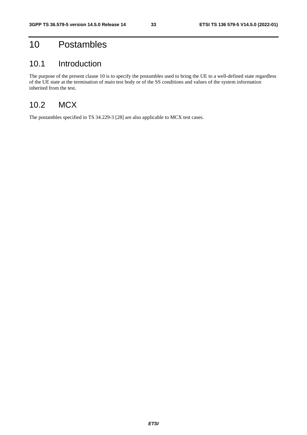# 10 Postambles

# 10.1 Introduction

The purpose of the present clause 10 is to specify the postambles used to bring the UE to a well-defined state regardless of the UE state at the termination of main test body or of the SS conditions and values of the system information inherited from the test.

# 10.2 MCX

The postambles specified in TS 34.229-3 [28] are also applicable to MCX test cases.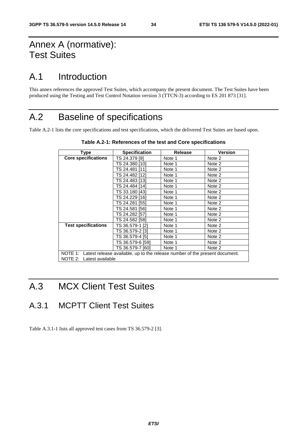# Annex A (normative): Test Suites

# A.1 Introduction

This annex references the approved Test Suites, which accompany the present document. The Test Suites have been produced using the Testing and Test Control Notation version 3 (TTCN-3) according to ES 201 873 [31].

# A.2 Baseline of specifications

Table A.2-1 lists the core specifications and test specifications, which the delivered Test Suites are based upon.

| Type                       | <b>Specification</b>                                                                | <b>Release</b> | <b>Version</b> |  |  |  |
|----------------------------|-------------------------------------------------------------------------------------|----------------|----------------|--|--|--|
| <b>Core specifications</b> | TS 24.379 [9]                                                                       | Note 1         | Note 2         |  |  |  |
|                            | TS 24.380 [10]                                                                      | Note 1         | Note 2         |  |  |  |
|                            | TS 24.481 [11]                                                                      | Note 1         | Note 2         |  |  |  |
|                            | TS 24.482 [12]                                                                      | Note 1         | Note 2         |  |  |  |
|                            | TS 24.483 [13]                                                                      | Note 1         | Note 2         |  |  |  |
|                            | TS 24.484 [14]                                                                      | Note 1         | Note 2         |  |  |  |
|                            | TS 33.180 [43]                                                                      | Note 1         | Note 2         |  |  |  |
|                            | TS 24.229 [16]                                                                      | Note 1         | Note 2         |  |  |  |
|                            | TS 24.281 [55]                                                                      | Note 1         | Note 2         |  |  |  |
|                            | TS 24.581 [56]                                                                      | Note 1         | Note 2         |  |  |  |
|                            | TS 24.282 [57]                                                                      | Note 1         | Note 2         |  |  |  |
|                            | TS 24.582 [58]                                                                      | Note 1         | Note 2         |  |  |  |
| <b>Test specifications</b> | TS 36.579-1 [2]                                                                     | Note 1         | Note 2         |  |  |  |
|                            | TS 36.579-2 [3]                                                                     | Note 1         | Note 2         |  |  |  |
|                            | TS 36.579-4 [5]                                                                     | Note 1         | Note 2         |  |  |  |
|                            | TS 36.579-6 [59]                                                                    | Note 1         | Note 2         |  |  |  |
|                            | TS 36.579-7 [60]                                                                    | Note 1         | Note 2         |  |  |  |
|                            | NOTE 1: Latest release available, up to the release number of the present document. |                |                |  |  |  |
| NOTE 2: Latest available   |                                                                                     |                |                |  |  |  |

| Table A.2-1: References of the test and Core specifications |  |  |
|-------------------------------------------------------------|--|--|
|-------------------------------------------------------------|--|--|

# A.3 MCX Client Test Suites

A.3.1 MCPTT Client Test Suites

Table A.3.1-1 lists all approved test cases from TS 36.579-2 [3].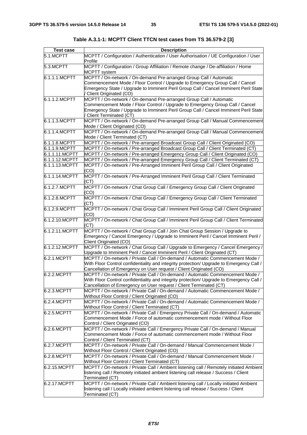| <b>Test case</b> | <b>Description</b>                                                                                                                                                                                                                                                   |  |  |  |
|------------------|----------------------------------------------------------------------------------------------------------------------------------------------------------------------------------------------------------------------------------------------------------------------|--|--|--|
| 5.1.MCPTT        | MCPTT / Configuration / Authentication / User Authorisation / UE Configuration / User<br>Profile                                                                                                                                                                     |  |  |  |
| 5.3.MCPTT        | MCPTT / Configuration / Group Affiliation / Remote change / De-affiliation / Home<br><b>MCPTT</b> system                                                                                                                                                             |  |  |  |
| 6.1.1.1.MCPTT    | MCPTT / On-network / On-demand Pre-arranged Group Call / Automatic<br>Commencement Mode / Floor Control / Upgrade to Emergency Group Call / Cancel<br>Emergency State / Upgrade to Imminent Peril Group Call / Cancel Imminent Peril State<br>Client Originated (CO) |  |  |  |
| 6.1.1.2.MCPTT    | MCPTT / On-network / On-demand Pre-arranged Group Call / Automatic<br>Commencement Mode / Floor Control / Upgrade to Emergency Group Call / Cancel<br>Emergency State / Upgrade to Imminent Peril Group Call / Cancel Imminent Peril State<br>Client Terminated (CT) |  |  |  |
| 6.1.1.3.MCPTT    | MCPTT / On-network / On-demand Pre-arranged Group Call / Manual Commencement<br>Mode / Client Originated (CO)                                                                                                                                                        |  |  |  |
| 6.1.1.4.MCPTT    | MCPTT / On-network / On-demand Pre-arranged Group Call / Manual Commencement<br>Mode / Client Terminated (CT)                                                                                                                                                        |  |  |  |
| 6.1.1.8.MCPTT    | MCPTT / On-network / Pre-arranged Broadcast Group Call / Client Originated (CO)                                                                                                                                                                                      |  |  |  |
| 6.1.1.9.MCPTT    | MCPTT / On-network / Pre-arranged Broadcast Group Call / Client Terminated (CT)                                                                                                                                                                                      |  |  |  |
| 6.1.1.11.MCPTT   | MCPTT / On-network / Pre-arranged Emergency Group Call / Client Originated (CO)                                                                                                                                                                                      |  |  |  |
| 6.1.1.12.MCPTT   | MCPTT / On-network / Pre-arranged Emergency Group Call / Client Terminated (CT)                                                                                                                                                                                      |  |  |  |
| 6.1.1.13.MCPTT   | MCPTT / On-network / Pre-Arranged Imminent Peril Group Call / Client Originated<br>(CO)                                                                                                                                                                              |  |  |  |
| 6.1.1.14.MCPTT   | MCPTT / On-network / Pre-Arranged Imminent Peril Group Call / Client Terminated<br>(CT)                                                                                                                                                                              |  |  |  |
| 6.1.2.7.MCPTT    | MCPTT / On-network / Chat Group Call / Emergency Group Call / Client Originated<br>(CO)                                                                                                                                                                              |  |  |  |
| 6.1.2.8.MCPTT    | MCPTT / On-network / Chat Group Call / Emergency Group Call / Client Terminated<br>(CT)                                                                                                                                                                              |  |  |  |
| 6.1.2.9.MCPTT    | MCPTT / On-network / Chat Group Call / Imminent Peril Group Call / Client Originated<br>(CO)                                                                                                                                                                         |  |  |  |
| 6.1.2.10.MCPTT   | MCPTT / On-network / Chat Group Call / Imminent Peril Group Call / Client Terminated<br>(CT)                                                                                                                                                                         |  |  |  |
| 6.1.2.11.MCPTT   | MCPTT / On-network / Chat Group Call / Join Chat Group Session / Upgrade to<br>Emergency / Cancel Emergency / Upgrade to Imminent Peril / Cancel Imminent Peril /<br>Client Originated (CO)                                                                          |  |  |  |
| 6.1.2.12.MCPTT   | MCPTT / On-network / Chat Group Call / Upgrade to Emergency / Cancel Emergency /<br>Upgrade to Imminent Peril / Cancel Imminent Peril / Client Originated (CT)                                                                                                       |  |  |  |
| 6.2.1.MCPTT      | MCPTT / On-network / Private Call / On-demand / Automatic Commencement Mode /<br>With Floor Control confidentiality and integrity protection/ Upgrade to Emergency Call /<br>Cancellation of Emergency on User request / Client Originated (CO)                      |  |  |  |
| 6.2.2.MCPTT      | MCPTT / On-network / Private Call / On-demand / Automatic Commencement Mode /<br>With Floor Control confidentiality and integrity protection/ Upgrade to Emergency Call /<br>Cancellation of Emergency on User request / Client Terminated (CT)                      |  |  |  |
| 6.2.3.MCPTT      | MCPTT / On-network / Private Call / On-demand / Automatic Commencement Mode /<br>Without Floor Control / Client Originated (CO)                                                                                                                                      |  |  |  |
| 6.2.4.MCPTT      | MCPTT / On-network / Private Call / On-demand / Automatic Commencement Mode /<br>Without Floor Control / Client Terminated (CT)                                                                                                                                      |  |  |  |
| 6.2.5.MCPTT      | MCPTT / On-network / Private Call / Emergency Private Call / On-demand / Automatic<br>Commencement Mode / Force of automatic commencement mode / Without Floor<br>Control / Client Originated (CO)                                                                   |  |  |  |
| 6.2.6.MCPTT      | MCPTT / On-network / Private Call / Emergency Private Call / On-demand / Manual<br>Commencement Mode / Force of automatic commencement mode / Without Floor<br>Control / Client Terminated (CT)                                                                      |  |  |  |
| 6.2.7.MCPTT      | MCPTT / On-network / Private Call / On-demand / Manual Commencement Mode /<br>Without Floor Control / Client Originated (CO)                                                                                                                                         |  |  |  |
| 6.2.8.MCPTT      | MCPTT / On-network / Private Call / On-demand / Manual Commencement Mode /<br>Without Floor Control / Client Terminated (CT)                                                                                                                                         |  |  |  |
| 6.2.15.MCPTT     | MCPTT / On-network / Private Call / Ambient listening call / Remotely initiated Ambient<br>listening call / Remotely initiated ambient listening call release / Success / Client<br>Terminated (CT)                                                                  |  |  |  |
| 6.2.17.MCPTT     | MCPTT / On-network / Private Call / Ambient listening call / Locally initiated Ambient<br>listening call / Locally initiated ambient listening call release / Success / Client<br>Terminated (CT)                                                                    |  |  |  |

**Table A.3.1-1: MCPTT Client TTCN test cases from TS 36.579-2 [3]**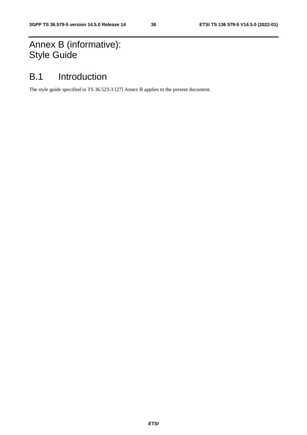# Annex B (informative): Style Guide

# B.1 Introduction

The style guide specified in TS 36.523-3 [27] Annex B applies to the present document.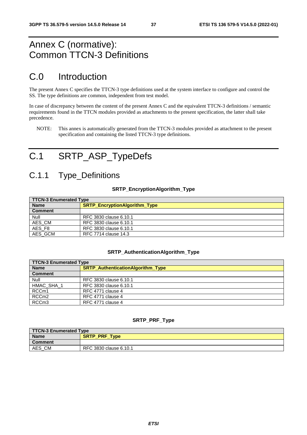# <span id="page-37-0"></span>Annex C (normative): Common TTCN-3 Definitions

# C.0 Introduction

The present Annex C specifies the TTCN-3 type definitions used at the system interface to configure and control the SS. The type definitions are common, independent from test model.

In case of discrepancy between the content of the present Annex C and the equivalent TTCN-3 definitions / semantic requirements found in the TTCN modules provided as attachments to the present specification, the latter shall take precedence.

NOTE: This annex is automatically generated from the TTCN-3 modules provided as attachment to the present specification and containing the listed TTCN-3 type definitions.

# C.1 SRTP\_ASP\_TypeDefs

# C.1.1 Type\_Definitions

### **SRTP\_EncryptionAlgorithm\_Type**

| <b>TTCN-3 Enumerated Type</b> |                                      |  |  |
|-------------------------------|--------------------------------------|--|--|
| <b>Name</b>                   | <b>SRTP_EncryptionAlgorithm_Type</b> |  |  |
| <b>Comment</b>                |                                      |  |  |
| Null                          | RFC 3830 clause 6.10.1               |  |  |
| AES_CM                        | RFC 3830 clause 6.10.1               |  |  |
| AES_F8                        | RFC 3830 clause 6.10.1               |  |  |
| AES_GCM                       | RFC 7714 clause 14.3                 |  |  |

#### **SRTP\_AuthenticationAlgorithm\_Type**

| <b>TTCN-3 Enumerated Type</b> |                                          |  |  |  |
|-------------------------------|------------------------------------------|--|--|--|
| <b>Name</b>                   | <b>SRTP AuthenticationAlgorithm Type</b> |  |  |  |
| <b>Comment</b>                |                                          |  |  |  |
| Null                          | RFC 3830 clause 6.10.1                   |  |  |  |
| HMAC_SHA_1                    | RFC 3830 clause 6.10.1                   |  |  |  |
| RCCm1                         | RFC 4771 clause 4                        |  |  |  |
| RCCm <sub>2</sub>             | RFC 4771 clause 4                        |  |  |  |
| RCCm <sub>3</sub>             | RFC 4771 clause 4                        |  |  |  |

#### **SRTP\_PRF\_Type**

| <b>TTCN-3 Enumerated Type</b> |                        |  |
|-------------------------------|------------------------|--|
| <b>Name</b>                   | <b>SRTP_PRF_Type</b>   |  |
| Comment                       |                        |  |
| AES<br>CM                     | RFC 3830 clause 6.10.1 |  |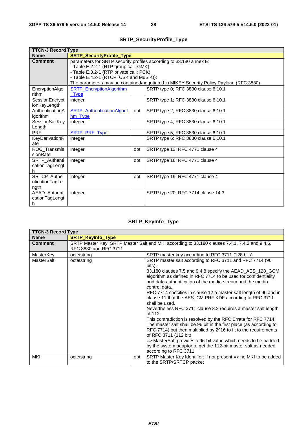<span id="page-38-0"></span>

| <b>TTCN-3 Record Type</b> |                                         |                                  |                                                                                        |  |
|---------------------------|-----------------------------------------|----------------------------------|----------------------------------------------------------------------------------------|--|
| <b>Name</b>               |                                         | <b>SRTP_SecurityProfile_Type</b> |                                                                                        |  |
| <b>Comment</b>            |                                         |                                  | parameters for SRTP security profiles according to 33.180 annex E:                     |  |
|                           | - Table E.2.2-1 (RTP group call: GMK)   |                                  |                                                                                        |  |
|                           | - Table E.3.2-1 (RTP private call: PCK) |                                  |                                                                                        |  |
|                           | - Table E.4.2-1 (RTCP: CSK and MuSiK)): |                                  |                                                                                        |  |
|                           |                                         |                                  | The parameters may be contained/negotiated in MIKEY Security Policy Payload (RFC 3830) |  |
| EncryptionAlgo            | SRTP_EncryptionAlgorithm                |                                  | SRTP type 0; RFC 3830 clause 6.10.1                                                    |  |
| rithm                     | <b>Type</b>                             |                                  |                                                                                        |  |
| SessionEncrypt            | integer                                 |                                  | SRTP type 1; RFC 3830 clause 6.10.1                                                    |  |
| ionKeyLength              |                                         |                                  |                                                                                        |  |
| AuthenticationA           | <b>SRTP_AuthenticationAlgorit</b>       | opt                              | SRTP type 2; RFC 3830 clause 6.10.1                                                    |  |
| Igorithm                  | hm Type                                 |                                  |                                                                                        |  |
| SessionSaltKey            | integer                                 |                                  | SRTP type 4; RFC 3830 clause 6.10.1                                                    |  |
| Length                    |                                         |                                  |                                                                                        |  |
| <b>PRF</b>                | <b>SRTP_PRF_Type</b>                    |                                  | SRTP type 5; RFC 3830 clause 6.10.1                                                    |  |
| KeyDerivationR            | integer                                 |                                  | SRTP type 6; RFC 3830 clause 6.10.1                                                    |  |
| ate                       |                                         |                                  |                                                                                        |  |
| ROC Transmis              | integer                                 | opt                              | SRTP type 13; RFC 4771 clause 4                                                        |  |
| sionRate                  |                                         |                                  |                                                                                        |  |
| SRTP_Authenti             | integer                                 | opt                              | SRTP type 18; RFC 4771 clause 4                                                        |  |
| cationTagLengt            |                                         |                                  |                                                                                        |  |
| h                         |                                         |                                  |                                                                                        |  |
| <b>SRTCP Authe</b>        | integer                                 | opt                              | SRTP type 19; RFC 4771 clause 4                                                        |  |
| nticationTagLe            |                                         |                                  |                                                                                        |  |
| ngth<br>AEAD Authenti     |                                         |                                  |                                                                                        |  |
| cationTagLengt            | integer                                 |                                  | SRTP type 20; RFC 7714 clause 14.3                                                     |  |
| h                         |                                         |                                  |                                                                                        |  |
|                           |                                         |                                  |                                                                                        |  |

# **SRTP\_SecurityProfile\_Type**

# **SRTP\_KeyInfo\_Type**

| <b>TTCN-3 Record Type</b> |                          |     |                                                                                                                                                                                                                                                                                                                                                                                                                                                                                                                                                                                                                                                                                                                                                                                                                                                                                                                     |
|---------------------------|--------------------------|-----|---------------------------------------------------------------------------------------------------------------------------------------------------------------------------------------------------------------------------------------------------------------------------------------------------------------------------------------------------------------------------------------------------------------------------------------------------------------------------------------------------------------------------------------------------------------------------------------------------------------------------------------------------------------------------------------------------------------------------------------------------------------------------------------------------------------------------------------------------------------------------------------------------------------------|
| <b>Name</b>               | <b>SRTP Keylnfo Type</b> |     |                                                                                                                                                                                                                                                                                                                                                                                                                                                                                                                                                                                                                                                                                                                                                                                                                                                                                                                     |
| <b>Comment</b>            | RFC 3830 and RFC 3711    |     | SRTP Master Key, SRTP Master Salt and MKI according to 33.180 clauses 7.4.1, 7.4.2 and 9.4.6,                                                                                                                                                                                                                                                                                                                                                                                                                                                                                                                                                                                                                                                                                                                                                                                                                       |
| MasterKey                 | octetstring              |     | SRTP master key according to RFC 3711 (128 bits)                                                                                                                                                                                                                                                                                                                                                                                                                                                                                                                                                                                                                                                                                                                                                                                                                                                                    |
| MasterSalt                | octetstring              |     | SRTP master salt according to RFC 3711 and RFC 7714 (96)<br>bits):<br>33.180 clauses 7.5 and 9.4.8 specify the AEAD_AES_128_GCM<br>algorithm as defined in RFC 7714 to be used for confidentiality<br>and data authentication of the media stream and the media<br>control data.<br>RFC 7714 specifies in clause 12 a master salt length of 96 and in<br>clause 11 that the AES_CM PRF KDF according to RFC 3711<br>shall be used.<br>Nevertheless RFC 3711 clause 8.2 requires a master salt length<br>of 112.<br>This contradiction is resolved by the RFC Errata for RFC 7714:<br>The master salt shall be 96 bit in the first place (as according to<br>RFC 7714) but then multiplied by 2^16 to fit to the requirements<br>of RFC 3711 (112 bit).<br>=> MasterSalt provides a 96-bit value which needs to be padded<br>by the system adaptor to get the 112-bit master salt as needed<br>according to RFC 3711 |
| <b>MKI</b>                | octetstring              | opt | SRTP Master Key Identifier: if not present => no MKI to be added<br>to the SRTP/SRTCP packet                                                                                                                                                                                                                                                                                                                                                                                                                                                                                                                                                                                                                                                                                                                                                                                                                        |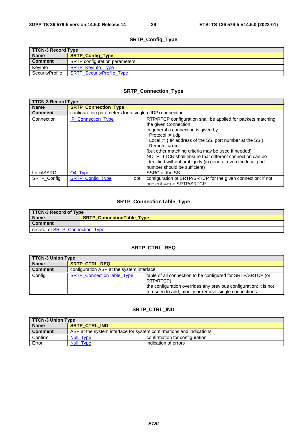# **SRTP\_Config\_Type**

| TTCN-3 Record Type |                                      |  |
|--------------------|--------------------------------------|--|
| <b>Name</b>        | <b>SRTP_Config_Type</b>              |  |
| <b>Comment</b>     | <b>SRTP</b> configuration parameters |  |
| KevInfo            | <b>SRTP Kevinfo Type</b>             |  |
| SecurityProfile    | <b>SRTP SecurityProfile Type</b>     |  |

# **SRTP\_Connection\_Type**

| <b>TTCN-3 Record Type</b> |                                                        |     |                                                                                                                                                                                                                                                                                                                                                                                                                                                            |
|---------------------------|--------------------------------------------------------|-----|------------------------------------------------------------------------------------------------------------------------------------------------------------------------------------------------------------------------------------------------------------------------------------------------------------------------------------------------------------------------------------------------------------------------------------------------------------|
| <b>Name</b>               | <b>SRTP Connection Type</b>                            |     |                                                                                                                                                                                                                                                                                                                                                                                                                                                            |
| <b>Comment</b>            | configuration parameters for a single (UDP) connection |     |                                                                                                                                                                                                                                                                                                                                                                                                                                                            |
| Connection                | <b>IP Connection Type</b>                              |     | RTP/RTCP configuration shall be applied for packets matching<br>the given Connection:<br>in general a connection is given by<br>$Protocol := udp$<br>Local := $\{$ IP address of the SS, port number at the SS $\}$<br>$Remote := omit$<br>(but other matching criteria may be used if needed)<br>NOTE: TTCN shall ensure that different connection can be<br>identified without ambiguity (in general even the local port<br>number should be sufficient) |
| LocalSSRC                 | O <sub>4</sub> Type                                    |     | SSRC of the SS                                                                                                                                                                                                                                                                                                                                                                                                                                             |
| <b>SRTP Config</b>        | SRTP_Config_Type                                       | opt | configuration of SRTP/SRTCP for the given connection; if not<br>present => no SRTP/SRTCP                                                                                                                                                                                                                                                                                                                                                                   |

### **SRTP\_ConnectionTable\_Type**

| TTCN-3 Record of Type          |                                  |  |
|--------------------------------|----------------------------------|--|
| <b>Name</b>                    | <b>SRTP ConnectionTable Type</b> |  |
| <b>Comment</b>                 |                                  |  |
| record of SRTP Connection Type |                                  |  |

### **SRTP\_CTRL\_REQ**

| <b>TTCN-3 Union Type</b> |                                           |                                                                                                                                                                                                        |
|--------------------------|-------------------------------------------|--------------------------------------------------------------------------------------------------------------------------------------------------------------------------------------------------------|
| <b>Name</b>              | <b>SRTP CTRL REQ</b>                      |                                                                                                                                                                                                        |
| <b>Comment</b>           | configuration ASP at the system interface |                                                                                                                                                                                                        |
| Config                   | <b>SRTP ConnectionTable Type</b>          | table of all connection to be configured for SRTP/SRTCP (or<br>RTP/RTCP);<br>the configuration overrides any previous configuration; it is not<br>foreseen to add, modify or remove single connections |

### **SRTP\_CTRL\_IND**

| <b>TTCN-3 Union Type</b> |                                                                      |                                |
|--------------------------|----------------------------------------------------------------------|--------------------------------|
| <b>Name</b>              | <b>SRTP CTRL IND</b>                                                 |                                |
| <b>Comment</b>           | ASP at the system interface for system confirmations and indications |                                |
| Confirm                  | <b>Null Type</b>                                                     | confirmation for configuration |
| Error                    | Null Type                                                            | indication of errors           |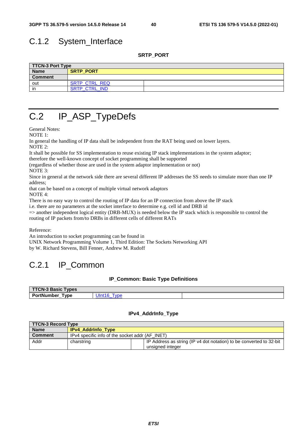# <span id="page-40-0"></span>C.1.2 System\_Interface

**SRTP\_PORT** 

| TTCN-3 Port Type |                      |  |  |
|------------------|----------------------|--|--|
| <b>Name</b>      | <b>SRTP PORT</b>     |  |  |
| <b>Comment</b>   |                      |  |  |
| out              | <b>SRTP CTRL REQ</b> |  |  |
| in               | <b>SRTP CTRL IND</b> |  |  |

# C.2 IP\_ASP\_TypeDefs

General Notes:

NOTE 1:

In general the handling of IP data shall be independent from the RAT being used on lower layers.

NOTE 2:

It shall be possible for SS implementation to reuse existing IP stack implementations in the system adaptor;

therefore the well-known concept of socket programming shall be supported

(regardless of whether those are used in the system adaptor implementation or not) NOTE 3:

Since in general at the network side there are several different IP addresses the SS needs to simulate more than one IP address;

that can be based on a concept of multiple virtual network adaptors

NOTE 4:

There is no easy way to control the routing of IP data for an IP connection from above the IP stack

i.e. there are no parameters at the socket interface to determine e.g. cell id and DRB id

=> another independent logical entity (DRB-MUX) is needed below the IP stack which is responsible to control the routing of IP packets from/to DRBs in different cells of different RATs

Reference:

An introduction to socket programming can be found in

UNIX Network Programming Volume 1, Third Edition: The Sockets Networking API

by W. Richard Stevens, Bill Fenner, Andrew M. Rudoff

# C.2.1 IP\_Common

#### **IP\_Common: Basic Type Definitions**

| <b>TTCN-3 Basic Types</b>     |                   |  |
|-------------------------------|-------------------|--|
| <b>PortNumber</b><br>vpe<br>– | JInt<br>VDE<br>-- |  |

#### **IPv4\_AddrInfo\_Type**

| TTCN-3 Record Type |                                                 |                                                                     |  |
|--------------------|-------------------------------------------------|---------------------------------------------------------------------|--|
| <b>Name</b>        | <b>IPv4 Addrinfo Type</b>                       |                                                                     |  |
| <b>Comment</b>     | IPv4 specific info of the socket addr (AF INET) |                                                                     |  |
| Addr               | charstring                                      | IP Address as string (IP v4 dot notation) to be converted to 32-bit |  |
|                    |                                                 | unsigned integer                                                    |  |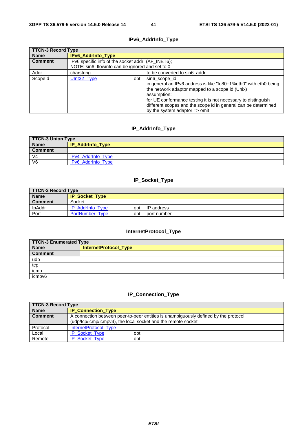### **IPv6\_AddrInfo\_Type**

<span id="page-41-0"></span>

| <b>TTCN-3 Record Type</b> |                                                                                                      |                                                                                                                                                                                                                                                                                                                                            |  |
|---------------------------|------------------------------------------------------------------------------------------------------|--------------------------------------------------------------------------------------------------------------------------------------------------------------------------------------------------------------------------------------------------------------------------------------------------------------------------------------------|--|
| <b>Name</b>               | IPv6_AddrInfo_Type                                                                                   |                                                                                                                                                                                                                                                                                                                                            |  |
| <b>Comment</b>            | IPv6 specific info of the socket addr (AF_INET6);<br>NOTE: sin6_flowinfo can be ignored and set to 0 |                                                                                                                                                                                                                                                                                                                                            |  |
| Addr                      | to be converted to sin6 addr<br>charstring                                                           |                                                                                                                                                                                                                                                                                                                                            |  |
| Scopeld                   | Ulnt32_Type                                                                                          | sin6 scope id<br>opt<br>in general an IPv6 address is like "fe80::1%eth0" with eth0 being<br>the network adaptor mapped to a scope id (Unix)<br>assumption:<br>for UE conformance testing it is not necessary to distinguish<br>different scopes and the scope id in general can be determined<br>by the system adaptor $\Rightarrow$ omit |  |

### **IP\_AddrInfo\_Type**

| TTCN-3 Union Type |                           |  |
|-------------------|---------------------------|--|
| <b>Name</b>       | <b>IP_AddrInfo_Type</b>   |  |
| <b>Comment</b>    |                           |  |
| V <sub>4</sub>    | <b>IPv4 Addrinfo Type</b> |  |
| V <sub>6</sub>    | IPv6 AddrInfo Type        |  |

### **IP\_Socket\_Type**

| TTCN-3 Record Type |                                              |     |             |
|--------------------|----------------------------------------------|-----|-------------|
| <b>Name</b>        | <b>IP_Socket_Type</b>                        |     |             |
| <b>Comment</b>     | Socket                                       |     |             |
| IpAddr             | <b>IP Addrinfo Type</b><br>IP address<br>opt |     |             |
| Port               | PortNumber Type                              | opt | port number |

# **InternetProtocol\_Type**

| <b>TTCN-3 Enumerated Type</b> |                       |  |  |
|-------------------------------|-----------------------|--|--|
| <b>Name</b>                   | InternetProtocol_Type |  |  |
| <b>Comment</b>                |                       |  |  |
| udp                           |                       |  |  |
| tcp                           |                       |  |  |
| icmp                          |                       |  |  |
| icmpv6                        |                       |  |  |

# **IP\_Connection\_Type**

| TTCN-3 Record Type |                                                                                                                                                      |     |  |
|--------------------|------------------------------------------------------------------------------------------------------------------------------------------------------|-----|--|
| <b>Name</b>        | <b>IP_Connection_Type</b>                                                                                                                            |     |  |
| <b>Comment</b>     | A connection between peer-to-peer entities is unambiguously defined by the protocol<br>(udp/tcp/icmp/icmpv4), the local socket and the remote socket |     |  |
| Protocol           | InternetProtocol Type                                                                                                                                |     |  |
| Local              | <b>IP Socket Type</b>                                                                                                                                | opt |  |
| Remote             | <b>IP Socket Type</b>                                                                                                                                | opt |  |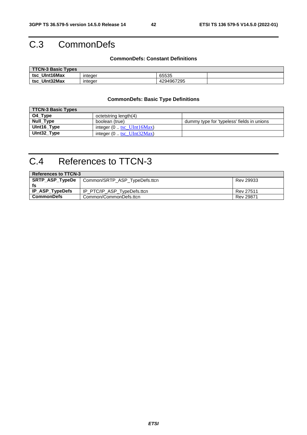# <span id="page-42-0"></span>C.3 CommonDefs

#### **CommonDefs: Constant Definitions**

| <b>TTCN-3 Basic Types</b> |         |            |  |  |
|---------------------------|---------|------------|--|--|
| tsc UInt16Max             | integer | 65535      |  |  |
| UInt32Max<br>tsc          | integer | 4294967295 |  |  |

### **CommonDefs: Basic Type Definitions**

| <b>TTCN-3 Basic Types</b> |                                          |                                            |  |  |
|---------------------------|------------------------------------------|--------------------------------------------|--|--|
| O4_Type                   | octetstring length(4)                    |                                            |  |  |
| Null_Type                 | boolean (true)                           | dummy type for 'typeless' fields in unions |  |  |
| UInt16_Type               | integer $(0$ tsc_UInt16Max)              |                                            |  |  |
| UInt32_Type               | integer $(0 \cdot \text{tsc_UInt32Max})$ |                                            |  |  |

# C.4 References to TTCN-3

| <b>References to TTCN-3</b> |                               |           |  |  |
|-----------------------------|-------------------------------|-----------|--|--|
| <b>SRTP ASP TypeDe</b>      | Common/SRTP_ASP_TypeDefs.ttcn | Rev 29933 |  |  |
| fs                          |                               |           |  |  |
| IP_ASP_TypeDefs             | IP_PTC/IP_ASP_TypeDefs.ttcn   | Rev 27511 |  |  |
| CommonDefs                  | Common/CommonDefs.ttcn        | Rev 29871 |  |  |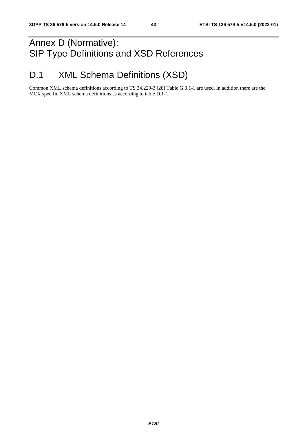# Annex D (Normative): SIP Type Definitions and XSD References

# D.1 XML Schema Definitions (XSD)

Common XML schema definitions according to TS 34.229-3 [28] Table G.0.1-1 are used. In addition there are the MCX specific XML schema definitions as according to table D.1-1.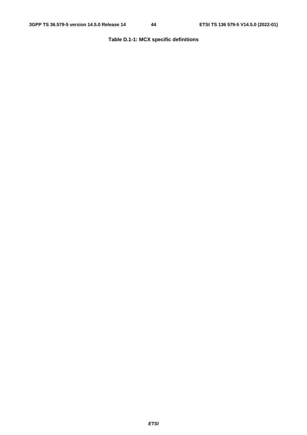# **Table D.1-1: MCX specific definitions**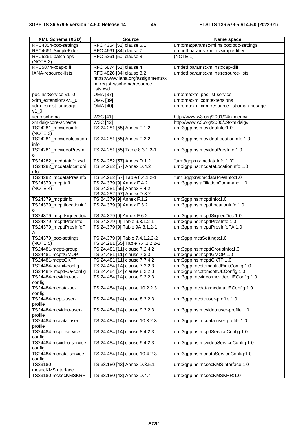| <b>XML Schema (XSD)</b>                            | <b>Source</b>                                                     | Name space                                                               |
|----------------------------------------------------|-------------------------------------------------------------------|--------------------------------------------------------------------------|
| RFC4354-poc-settings                               | RFC 4354 [52] clause 6.1                                          | urn:oma:params:xml:ns:poc:poc-settings                                   |
| RFC4661-SimpleFilter                               | RFC 4661 [34] clause 7                                            | urn:ietf:params:xml:ns:simple-filter                                     |
| RFC5261-patch-ops                                  | RFC 5261 [50] clause 8                                            | (NOTE 1)                                                                 |
| (NOTE 2)                                           |                                                                   |                                                                          |
| RFC5874-xcap-diff                                  | RFC 5874 [51] clause 4                                            | urn:ietf:params:xml:ns:xcap-diff                                         |
| IANA-resource-lists                                | RFC 4826 [34] clause 3.2                                          | urn:ietf:params:xml:ns:resource-lists                                    |
|                                                    | https://www.iana.org/assignments/x                                |                                                                          |
|                                                    | ml-registry/schema/resource-                                      |                                                                          |
|                                                    | lists.xsd                                                         |                                                                          |
| poc_listService-v1_0                               | <b>OMA</b> [37]                                                   | urn:oma:xml:poc:list-service                                             |
| xdm_extensions-v1_0                                | OMA [39]                                                          | urn:oma:xml:xdm:extensions                                               |
| xdm_rsrclst_uriusage-                              | <b>OMA [40]</b>                                                   | urn:oma:xml:xdm:resource-list:oma-uriusage                               |
| $v1_0$                                             |                                                                   |                                                                          |
| xenc-schema                                        | W3C [41]                                                          | http://www.w3.org/2001/04/xmlenc#'                                       |
| xmldsig-core-schema                                | W3C [42]                                                          | http://www.w3.org/2000/09/xmldsig#                                       |
| TS24281_mcvideoinfo                                | TS 24.281 [55] Annex F.1.2                                        | urn:3gpp:ns:mcvideoInfo:1.0                                              |
| (NOTE 3)<br>TS24281_mcvideolocation                | TS 24.281 [55] Annex F.3.2                                        |                                                                          |
| info                                               |                                                                   | urn:3gpp:ns:mcvideoLocationInfo:1.0                                      |
| TS24281_mcvideoPresInf                             | TS 24.281 [55] Table 8.3.1.2-1                                    | urn:3gpp:ns:mcvideoPresInfo:1.0                                          |
|                                                    |                                                                   |                                                                          |
| TS24282_mcdatainfo.xsd                             | TS 24.282 [57] Annex D.1.2                                        | "urn:3gpp:ns:mcdataInfo:1.0"                                             |
| TS24282_mcdatalocationi                            | TS 24.282 [57] Annex D.4.2                                        | urn:3gpp:ns:mcdataLocationInfo:1.0                                       |
| nfo                                                |                                                                   |                                                                          |
| TS24282_mcdataPresInfo                             | TS 24.282 [57] Table 8.4.1.2-1                                    | "urn:3gpp:ns:mcdataPresInfo:1.0"                                         |
| TS24379_mcpttaff                                   | TS 24.379 [9] Annex F.4.2                                         | urn:3gpp:ns:affiliationCommand:1.0                                       |
| (NOTE 4)                                           | TS 24.281 [55] Annex F.4.2                                        |                                                                          |
|                                                    | TS 24.282 [57] Annex D.3.2                                        |                                                                          |
| TS24379_mcpttinfo                                  | TS 24.379 [9] Annex F.1.2                                         | urn:3gpp:ns:mcpttlnfo:1.0                                                |
| TS24379_mcpttlocationinf                           | TS 24.379 [9] Annex F.3.2                                         | urn:3gpp:ns:mcpttLocationInfo:1.0                                        |
| о                                                  |                                                                   |                                                                          |
| TS24379_mcpttsigneddoc                             | TS 24.379 [9] Annex F.6.2                                         | urn:3gpp:ns:mcpttSignedDoc:1.0                                           |
| TS24379_mcpttPresInfo                              | TS 24.379 [9] Table 9.3.1.2-1                                     | urn:3gpp:ns:mcpttPresInfo:1.0                                            |
| TS24379_mcpttPresInfoF                             | TS 24.379 [9] Table 9A.3.1.2-1                                    | urn:3gpp:ns:mcpttPresInfoFA:1.0                                          |
| A                                                  |                                                                   |                                                                          |
| TS24379_poc-settings<br>(NOTE 5)                   | TS 24.379 [9] Table 7.4.1.2.2-2                                   | urn:3gpp:mcsSettings:1.0                                                 |
| TS24481-mcptt-group                                | TS 24.281 [55] Table 7.4.1.2.2-2<br>TS 24.481 [11] clause 7.2.4.2 | urn:3gpp:ns:mcpttGroupInfo:1.0                                           |
| TS24481-mcpttGMOP                                  | TS 24.481 [11] clause 7.3.3                                       | urn:3gpp:ns:mcpttGMOP:1.0                                                |
|                                                    |                                                                   |                                                                          |
| TS24481-mcpttGKTP                                  | TS 24.481 [11] clause 7.7.4.2                                     | urn:3gpp:ns:mcpttGKTP:1.0                                                |
| TS24484-ue-init-config<br>TS24484- mcptt-ue-config | TS 24.484 [14] clause 7.2.2.3<br>TS 24.484 [14] clause 8.2.2.3    | urn:3gpp:mcptt:mcpttUEinitConfig:1.0<br>urn:3gpp:mcptt:mcpttUEConfig:1.0 |
| TS24484-mcvideo-ue-                                | TS 24.484 [14] clause 9.2.2.3                                     | urn:3gpp:mcvideo:mcvideoUEConfig:1.0                                     |
| config                                             |                                                                   |                                                                          |
| TS24484-mcdata-ue-                                 | TS 24.484 [14] clause 10.2.2.3                                    | urn:3gpp:mcdata:mcdataUEConfig:1.0                                       |
| config                                             |                                                                   |                                                                          |
| TS24484-mcptt-user-                                | TS 24.484 [14] clause 8.3.2.3                                     | urn:3gpp:mcptt:user-profile:1.0                                          |
| profile                                            |                                                                   |                                                                          |
| TS24484-mcvideo-user-                              | TS 24.484 [14] clause 9.3.2.3                                     | urn:3gpp:ns:mcvideo:user-profile:1.0                                     |
| profile                                            |                                                                   |                                                                          |
| TS24484-mcdata-user-                               | TS 24.484 [14] clause 10.3.2.3                                    | urn:3gpp:ns:mcdata:user-profile:1.0                                      |
| profile                                            |                                                                   |                                                                          |
| TS24484-mcptt-service-                             | TS 24.484 [14] clause 8.4.2.3                                     | urn:3gpp:ns:mcpttServiceConfig:1.0                                       |
| config                                             |                                                                   |                                                                          |
| TS24484-mcvideo-service-                           | TS 24.484 [14] clause 9.4.2.3                                     | urn:3gpp:ns:mcvideoServiceConfig:1.0                                     |
| config                                             |                                                                   |                                                                          |
| TS24484-mcdata-service-                            | TS 24.484 [14] clause 10.4.2.3                                    | urn:3gpp:ns:mcdataServiceConfig:1.0                                      |
| config                                             |                                                                   |                                                                          |
| TS33180-                                           | TS 33.180 [43] Annex D.3.5.1                                      | urn:3gpp:ns:mcsecKMSInterface:1.0                                        |
| mcsecKMSInterface                                  |                                                                   |                                                                          |
| TS33180-mcsecKMSKRR                                | TS 33.180 [43] Annex D.4.4                                        | urn:3gpp:ns:mcsecKMSKRR:1.0                                              |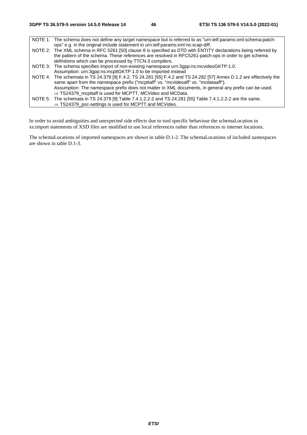NOTE 1: The schema does not define any target namespace but is referred to as "urn:ietf:params:xml:schema:patchops" e.g. in the original include statement in urn:ietf:params:xml:ns:xcap-diff. NOTE 2: The XML schema in RFC 5261 [50] clause 8 is specified as DTD with ENTITY declarations being referred by the pattern of the schema. These references are resolved in RFC5261-patch-ops in order to get schema definitions which can be processed by TTCN-3 compilers. NOTE 3: The schema specifies import of non-existing namespace urn:3gpp:ns:mcvideoGKTP:1.0. Assumption: urn:3gpp:ns:mcpttGKTP:1.0 to be imported instead NOTE 4: The schemata in TS 24.379 [9] F.4.2, TS 24.281 [55] F.4.2 and TS 24.282 [57] Annex D.1.2 are effectively the same apart from the namespace prefix ("mcpttaff" vs. "mcvideoaff" vs. "mcdataaff"). Assumption: The namespace prefix does not matter in XML documents, in general any prefix can be used.  $\Rightarrow$  TS24379\_mcpttaff is used for MCPTT, MCVideo and MCData. NOTE 5: The schemata in TS 24.379 [9] Table 7.4.1.2.2-2 and TS 24.281 [55] Table 7.4.1.2.2-2 are the same.  $\Rightarrow$  TS24379 poc-settings is used for MCPTT and MCVideo.

In order to avoid ambiguities and unexpected side effects due to tool specific behaviour the schemaLocation in xs:import statements of XSD files are modified to use local references rather than references to internet locations.

The schemaLocations of imported namespaces are shown in table D.1-2. The schemaLocations of included namespaces are shown in table D.1-3.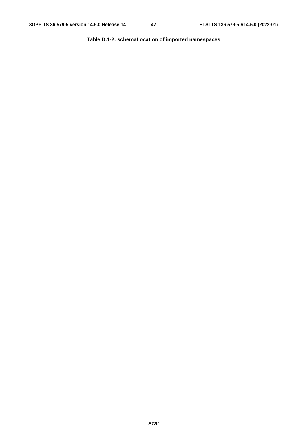**Table D.1-2: schemaLocation of imported namespaces**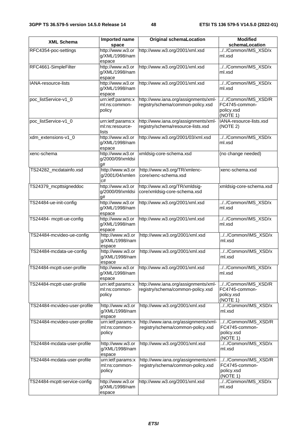| <b>XML Schema</b>            | Imported name                                 | <b>Original schemaLocation</b>                                             | <b>Modified</b>                                                |
|------------------------------|-----------------------------------------------|----------------------------------------------------------------------------|----------------------------------------------------------------|
|                              | space                                         |                                                                            | schemaLocation                                                 |
| RFC4354-poc-settings         | http://www.w3.or<br>g/XML/1998/nam<br>espace  | http://www.w3.org/2001/xml.xsd                                             | .//Common/IMS_XSD/x<br>ml.xsd                                  |
| RFC4661-SimpleFilter         | http://www.w3.or<br>g/XML/1998/nam<br>espace  | http://www.w3.org/2001/xml.xsd                                             | //Common/IMS_XSD/x<br>ml.xsd                                   |
| IANA-resource-lists          | http://www.w3.or<br>g/XML/1998/nam<br>espace  | http://www.w3.org/2001/xml.xsd                                             | //Common/IMS_XSD/x<br>ml.xsd                                   |
| poc_listService-v1_0         | urn:ietf:params:x<br>ml:ns:common-<br>policy  | http://www.iana.org/assignments/xml-<br>registry/schema/common-policy.xsd  | //Common/IMS_XSD/R<br>FC4745-common-<br>policy.xsd<br>(NOTE 1) |
| poc_listService-v1_0         | urn:ietf:params:x<br>ml:ns:resource-<br>lists | http://www.iana.org/assignments/xml-<br>registry/schema/resource-lists.xsd | IANA-resource-lists.xsd<br>(NOTE 2)                            |
| xdm_extensions-v1_0          | http://www.w3.or<br>g/XML/1998/nam<br>espace  | http://www.w3.org/2001/03/xml.xsd                                          | //Common/IMS_XSD/x<br>ml.xsd                                   |
| xenc-schema                  | http://www.w3.or<br>g/2000/09/xmldsi<br>a#    | xmldsig-core-schema.xsd                                                    | (no change needed)                                             |
| TS24282 mcdatainfo.xsd       | http://www.w3.or<br>g/2001/04/xmlen<br>c#     | http://www.w3.org/TR/xmlenc-<br>core/xenc-schema.xsd                       | xenc-schema.xsd                                                |
| TS24379_mcpttsigneddoc       | http://www.w3.or<br>g/2000/09/xmldsi<br>a#    | http://www.w3.org/TR/xmldsig-<br>core/xmldsig-core-schema.xsd              | xmldsig-core-schema.xsd                                        |
| TS24484-ue-init-config       | http://www.w3.or<br>g/XML/1998/nam<br>espace  | http://www.w3.org/2001/xml.xsd                                             | //Common/IMS_XSD/x<br>ml.xsd                                   |
| TS24484- mcptt-ue-config     | http://www.w3.or<br>g/XML/1998/nam<br>espace  | http://www.w3.org/2001/xml.xsd                                             | //Common/IMS_XSD/x<br>ml.xsd                                   |
| TS24484-mcvideo-ue-config    | http://www.w3.or<br>g/XML/1998/nam<br>espace  | http://www.w3.org/2001/xml.xsd                                             | //Common/IMS_XSD/x<br>ml.xsd                                   |
| TS24484-mcdata-ue-config     | http://www.w3.or<br>g/XML/1998/nam<br>espace  | http://www.w3.org/2001/xml.xsd                                             | //Common/IMS_XSD/x<br>ml.xsd                                   |
| TS24484-mcptt-user-profile   | g/XML/1998/nam<br>espace                      | http://www.w3.or http://www.w3.org/2001/xml.xsd                            | //Common/IMS_XSD/x<br>ml.xsd                                   |
| TS24484-mcptt-user-profile   | urn:ietf:params:x<br>ml:ns:common-<br>policy  | http://www.iana.org/assignments/xml-<br>registry/schema/common-policy.xsd  | //Common/IMS_XSD/R<br>FC4745-common-<br>policy.xsd<br>(NOTE 1) |
| TS24484-mcvideo-user-profile | http://www.w3.or<br>g/XML/1998/nam<br>espace  | http://www.w3.org/2001/xml.xsd                                             | //Common/IMS_XSD/x<br>ml.xsd                                   |
| TS24484-mcvideo-user-profile | urn:ietf:params:x<br>ml:ns:common-<br>policy  | http://www.iana.org/assignments/xml-<br>registry/schema/common-policy.xsd  | //Common/IMS_XSD/R<br>FC4745-common-<br>policy.xsd<br>(NOTE 1) |
| TS24484-mcdata-user-profile  | http://www.w3.or<br>g/XML/1998/nam<br>espace  | http://www.w3.org/2001/xml.xsd                                             | //Common/IMS_XSD/x<br>ml.xsd                                   |
| TS24484-mcdata-user-profile  | urn:ietf:params:x<br>ml:ns:common-<br>policy  | http://www.iana.org/assignments/xml-<br>registry/schema/common-policy.xsd  | //Common/IMS_XSD/R<br>FC4745-common-<br>policy.xsd<br>(NOTE 1) |
| TS24484-mcptt-service-config | http://www.w3.or<br>g/XML/1998/nam<br>espace  | http://www.w3.org/2001/xml.xsd                                             | .//Common/IMS_XSD/x<br>ml.xsd                                  |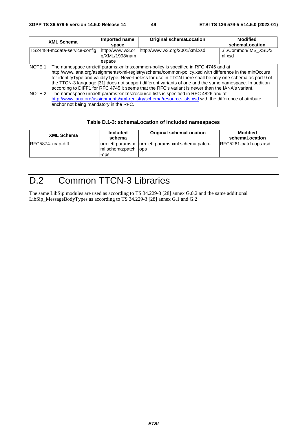| <b>XML Schema</b>                      | Imported name<br>space                       | <b>Original schemaLocation</b>                                                                                                                                                                                                                                                                                                                                                                                                                                                                                                                                                                                                                                                                                                                     | <b>Modified</b><br>schemaLocation |
|----------------------------------------|----------------------------------------------|----------------------------------------------------------------------------------------------------------------------------------------------------------------------------------------------------------------------------------------------------------------------------------------------------------------------------------------------------------------------------------------------------------------------------------------------------------------------------------------------------------------------------------------------------------------------------------------------------------------------------------------------------------------------------------------------------------------------------------------------------|-----------------------------------|
| TS24484-mcdata-service-config          | http://www.w3.or<br>g/XML/1998/nam<br>espace | http://www.w3.org/2001/xml.xsd                                                                                                                                                                                                                                                                                                                                                                                                                                                                                                                                                                                                                                                                                                                     | //Common/IMS_XSD/x<br>lml.xsd     |
| anchor not being mandatory in the RFC. |                                              | NOTE 1: The namespace urn:ietf:params:xml:ns:common-policy is specified in RFC 4745 and at<br>http://www.iana.org/assignments/xml-registry/schema/common-policy.xsd with difference in the minOccurs<br>for identityType and validityType. Nevertheless for use in TTCN there shall be only one schema as part 9 of<br>the TTCN-3 language [31] does not support different variants of one and the same namespace. In addition<br>according to DIFF1 for RFC 4745 it seems that the RFC's variant is newer than the IANA's variant.<br>NOTE 2: The namespace urn: ietf: params: xml: ns: resource-lists is specified in RFC 4826 and at<br>http://www.iana.org/assignments/xml-registry/schema/resource-lists.xsd with the difference of attribute |                                   |

### **Table D.1-3: schemaLocation of included namespaces**

| <b>XML Schema</b> | <b>Included</b><br>schema                        | <b>Original schemaLocation</b>     | <b>Modified</b><br>schemaLocation |
|-------------------|--------------------------------------------------|------------------------------------|-----------------------------------|
| RFC5874-xcap-diff | urn:ietf:params:x<br>m:schema:patch lops<br>-ops | lurn:ietf:params:xml:schema:patch- | RFC5261-patch-ops.xsd             |

# D.2 Common TTCN-3 Libraries

The same LibSip modules are used as according to TS 34.229-3 [28] annex G.0.2 and the same additional LibSip\_MessageBodyTypes as according to TS 34.229-3 [28] annex G.1 and G.2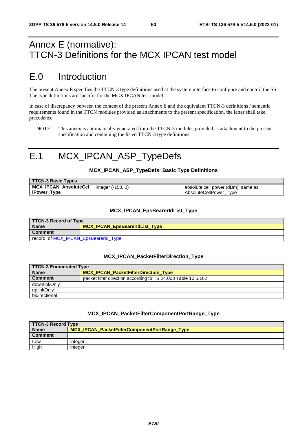# <span id="page-50-0"></span>Annex E (normative): TTCN-3 Definitions for the MCX IPCAN test model

# E.0 Introduction

The present Annex E specifies the TTCN-3 type definitions used at the system interface to configure and control the SS. The type definitions are specific for the MCX IPCAN test model.

In case of discrepancy between the content of the present Annex E and the equivalent TTCN-3 definitions / semantic requirements found in the TTCN modules provided as attachments to the present specification, the latter shall take precedence.

NOTE: This annex is automatically generated from the TTCN-3 modules provided as attachment to the present specification and containing the listed TTCN-3 type definitions.

# E.1 MCX\_IPCAN\_ASP\_TypeDefs

#### **MCX\_IPCAN\_ASP\_TypeDefs: Basic Type Definitions**

| TTCN-3 Basic Types    |                 |                                    |
|-----------------------|-----------------|------------------------------------|
| MCX_IPCAN_AbsoluteCel | integer (-1500) | absolute cell power (dBm); same as |
| <b>IPower_Type</b>    |                 | AbsoluteCellPower Type             |

#### **MCX\_IPCAN\_EpsBearerIdList\_Type**

| TTCN-3 Record of Type                |                                |  |
|--------------------------------------|--------------------------------|--|
| <b>Name</b>                          | MCX_IPCAN_EpsBearerIdList_Type |  |
| <b>Comment</b>                       |                                |  |
| record of MCX IPCAN EpsBearerId Type |                                |  |

#### **MCX\_IPCAN\_PacketFilterDirection\_Type**

| TTCN-3 Enumerated Type |                                                               |  |
|------------------------|---------------------------------------------------------------|--|
| <b>Name</b>            | <b>MCX IPCAN PacketFilterDirection Type</b>                   |  |
| <b>Comment</b>         | packet filter direction according to TS 24.008 Table 10.5.162 |  |
| downlinkOnly           |                                                               |  |
| uplinkOnly             |                                                               |  |
| bidirectional          |                                                               |  |

#### **MCX\_IPCAN\_PacketFilterComponentPortRange\_Type**

| TTCN-3 Record Type |                                               |  |  |
|--------------------|-----------------------------------------------|--|--|
| <b>Name</b>        | MCX_IPCAN_PacketFilterComponentPortRange_Type |  |  |
| <b>Comment</b>     |                                               |  |  |
| Low                | integer                                       |  |  |
| Hiah               | integer                                       |  |  |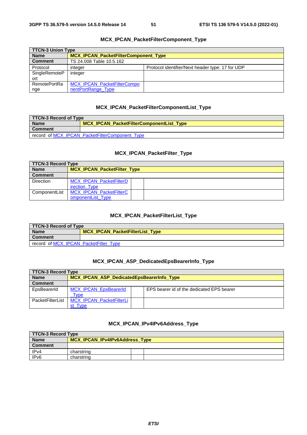<span id="page-51-0"></span>

| <b>TTCN-3 Union Type</b> |                                             |                                                  |
|--------------------------|---------------------------------------------|--------------------------------------------------|
| <b>Name</b>              | <b>MCX IPCAN PacketFilterComponent Type</b> |                                                  |
| <b>Comment</b>           | TS 24.008 Table 10.5.162                    |                                                  |
| Protocol                 | integer                                     | Protocol identifier/Next header type: 17 for UDP |
| SingleRemoteP            | integer                                     |                                                  |
| ort                      |                                             |                                                  |
| <b>RemotePortRa</b>      | MCX_IPCAN_PacketFilterCompo                 |                                                  |
| nge                      | nentPortRange Type                          |                                                  |

#### **MCX\_IPCAN\_PacketFilterComponent\_Type**

#### **MCX\_IPCAN\_PacketFilterComponentList\_Type**

| TTCN-3 Record of Type                          |                                                 |  |
|------------------------------------------------|-------------------------------------------------|--|
| <b>Name</b>                                    | <b>MCX IPCAN PacketFilterComponentList Type</b> |  |
| <b>Comment</b>                                 |                                                 |  |
| record of MCX IPCAN PacketFilterComponent Type |                                                 |  |

### **MCX\_IPCAN\_PacketFilter\_Type**

|                  | <b>TTCN-3 Record Type</b>          |  |
|------------------|------------------------------------|--|
| <b>Name</b>      | <b>MCX IPCAN PacketFilter Type</b> |  |
| <b>Comment</b>   |                                    |  |
| <b>Direction</b> | <b>MCX IPCAN PacketFilterD</b>     |  |
|                  | irection Type                      |  |
| ComponentList    | <b>MCX IPCAN PacketFilterC</b>     |  |
|                  | omponentList Type                  |  |

### **MCX\_IPCAN\_PacketFilterList\_Type**

| TTCN-3 Record of Type                 |                                        |  |
|---------------------------------------|----------------------------------------|--|
| <b>Name</b>                           | <b>MCX IPCAN PacketFilterList Type</b> |  |
| <b>Comment</b>                        |                                        |  |
| record of MCX IPCAN PacketFilter Type |                                        |  |

#### **MCX\_IPCAN\_ASP\_DedicatedEpsBearerInfo\_Type**

|                  | <b>TTCN-3 Record Type</b>                 |  |                                           |
|------------------|-------------------------------------------|--|-------------------------------------------|
| <b>Name</b>      | MCX_IPCAN_ASP_DedicatedEpsBearerInfo_Type |  |                                           |
| <b>Comment</b>   |                                           |  |                                           |
| EpsBearerId      | <b>MCX IPCAN EpsBearerId</b>              |  | EPS bearer id of the dedicated EPS bearer |
|                  | Type                                      |  |                                           |
| PacketFilterList | MCX_IPCAN_PacketFilterLi                  |  |                                           |
|                  | <i><u><b>I</b></u></i> vpe                |  |                                           |

### **MCX\_IPCAN\_IPv4IPv6Address\_Type**

| TTCN-3 Record Type |                                |  |  |
|--------------------|--------------------------------|--|--|
| <b>Name</b>        | MCX_IPCAN_IPv4IPv6Address_Type |  |  |
| <b>Comment</b>     |                                |  |  |
| IP <sub>v4</sub>   | charstring                     |  |  |
| IP <sub>v6</sub>   | charstring                     |  |  |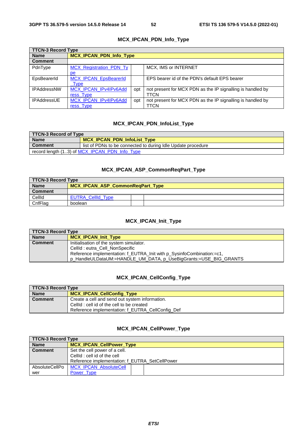<span id="page-52-0"></span>

| <b>TTCN-3 Record Type</b> |                                |     |                                                            |
|---------------------------|--------------------------------|-----|------------------------------------------------------------|
| <b>Name</b>               | <b>MCX IPCAN PDN Info Type</b> |     |                                                            |
| <b>Comment</b>            |                                |     |                                                            |
| PdnType                   | <b>MCX Registration PDN Ty</b> |     | MCX, IMS or INTERNET                                       |
|                           | pe                             |     |                                                            |
| EpsBearerId               | MCX_IPCAN_EpsBearerId          |     | EPS bearer id of the PDN's default EPS bearer              |
|                           | <b>Type</b>                    |     |                                                            |
| <b>IPAddressNW</b>        | MCX IPCAN IPv4IPv6Add          | opt | not present for MCX PDN as the IP signalling is handled by |
|                           | ress Type                      |     | TTCN                                                       |
| <b>IPAddressUE</b>        | MCX IPCAN IPv4IPv6Add          | opt | not present for MCX PDN as the IP signalling is handled by |
|                           | ress Type                      |     | TTCN                                                       |

### **MCX\_IPCAN\_PDN\_Info\_Type**

#### **MCX\_IPCAN\_PDN\_InfoList\_Type**

| TTCN-3 Record of Type                         |                                                              |  |  |
|-----------------------------------------------|--------------------------------------------------------------|--|--|
| <b>Name</b>                                   | <b>MCX IPCAN PDN InfoList Type</b>                           |  |  |
| <b>Comment</b>                                | list of PDNs to be connected to during Idle Update procedure |  |  |
| record length (13) of MCX_IPCAN_PDN_Info_Type |                                                              |  |  |

#### **MCX\_IPCAN\_ASP\_CommonReqPart\_Type**

| TTCN-3 Record Type |                                         |  |  |
|--------------------|-----------------------------------------|--|--|
| <b>Name</b>        | <b>MCX IPCAN ASP CommonRegPart Type</b> |  |  |
| <b>Comment</b>     |                                         |  |  |
| CellId             | <b>EUTRA CellId Type</b>                |  |  |
| CnfFlag            | boolean                                 |  |  |

### **MCX\_IPCAN\_Init\_Type**

| TTCN-3 Record Type |                                                                       |  |  |  |
|--------------------|-----------------------------------------------------------------------|--|--|--|
| <b>Name</b>        | MCX_IPCAN_Init_Type                                                   |  |  |  |
| <b>Comment</b>     | Initialisation of the system simulator.                               |  |  |  |
|                    | CellId : eutra_Cell_NonSpecific                                       |  |  |  |
|                    | Reference implementation: f_EUTRA_Init with p_SysinfoCombination:=c1, |  |  |  |
|                    | p_HandleULDataUM:=HANDLE_UM_DATA, p_UseBigGrants:=USE_BIG_GRANTS      |  |  |  |

#### **MCX\_IPCAN\_CellConfig\_Type**

| TTCN-3 Record Type |                                                  |  |  |  |
|--------------------|--------------------------------------------------|--|--|--|
| <b>Name</b>        | <b>MCX IPCAN CellConfig Type</b>                 |  |  |  |
| <b>Comment</b>     | Create a cell and send out system information.   |  |  |  |
|                    | CellId : cell id of the cell to be created       |  |  |  |
|                    | Reference implementation: f EUTRA CellConfig Def |  |  |  |

### **MCX\_IPCAN\_CellPower\_Type**

| <b>TTCN-3 Record Type</b> |                                                |  |  |
|---------------------------|------------------------------------------------|--|--|
| <b>Name</b>               | <b>MCX IPCAN CellPower Type</b>                |  |  |
| <b>Comment</b>            | Set the cell power of a cell.                  |  |  |
|                           | CellId : cell id of the cell                   |  |  |
|                           | Reference implementation: f EUTRA SetCellPower |  |  |
| AbsoluteCellPo            | <b>MCX IPCAN AbsoluteCell</b>                  |  |  |
| wer                       | Power Type                                     |  |  |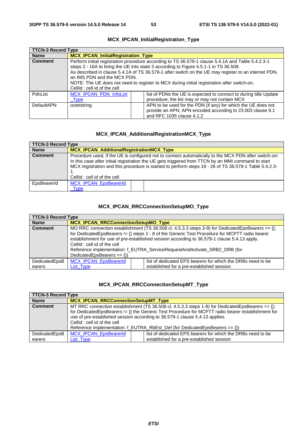<span id="page-53-0"></span>

| <b>TTCN-3 Record Type</b> |                                                                                                                                                                                                                                                                                                                                                                                                                                                               |  |                                                                                                                                                          |
|---------------------------|---------------------------------------------------------------------------------------------------------------------------------------------------------------------------------------------------------------------------------------------------------------------------------------------------------------------------------------------------------------------------------------------------------------------------------------------------------------|--|----------------------------------------------------------------------------------------------------------------------------------------------------------|
| <b>Name</b>               | <b>MCX IPCAN InitialRegistration Type</b>                                                                                                                                                                                                                                                                                                                                                                                                                     |  |                                                                                                                                                          |
| <b>Comment</b>            | Perform initial registration procedure according to TS 36.579-1 clause 5.4.1A and Table 5.4.2.3-1<br>steps 2 - 16A to bring the UE into state 3 according to Figure 4.5.1-1 in TS 36.508.<br>As described in clause 5.4.1A of TS 36.579-1 after switch on the UE may register to an internet PDN,<br>an IMS PDN and the MCX PDN.<br>NOTE: The UE does not need to register to MCX during initial registration after switch-on.<br>CellId: cell id of the cell |  |                                                                                                                                                          |
| PdnList                   | <b>MCX IPCAN PDN InfoList</b><br><b>Type</b>                                                                                                                                                                                                                                                                                                                                                                                                                  |  | list of PDNs the UE is expected to connect to during Idle Update<br>procedure; the list may or may not contain MCX                                       |
| DefaultAPN                | octetstring                                                                                                                                                                                                                                                                                                                                                                                                                                                   |  | APN to be used for the PDN (if any) for which the UE does not<br>provide an APN; APN encoded according to 23.003 clause 9.1<br>and RFC 1035 clause 4.1.2 |

### **MCX\_IPCAN\_InitialRegistration\_Type**

# **MCX\_IPCAN\_AdditionalRegistrationMCX\_Type**

| <b>TTCN-3 Record Type</b>                                                                                                                                                                                                                                                                                                                           |  |  |  |
|-----------------------------------------------------------------------------------------------------------------------------------------------------------------------------------------------------------------------------------------------------------------------------------------------------------------------------------------------------|--|--|--|
| <b>MCX IPCAN AdditionalRegistrationMCX Type</b>                                                                                                                                                                                                                                                                                                     |  |  |  |
| Procedure used, if the UE is configured not to connect automatically to the MCX PDN after switch-on:<br>In this case after initial registration the UE gets triggered from TTCN by an MMI command to start<br>MCX registration and this procedure is started to perform steps 19 - 26 of TS 36.579-1 Table 5.4.2.3-<br>CellId : cell id of the cell |  |  |  |
| <b>MCX IPCAN EpsBearerId</b><br>Type                                                                                                                                                                                                                                                                                                                |  |  |  |
|                                                                                                                                                                                                                                                                                                                                                     |  |  |  |

### **MCX\_IPCAN\_RRCConnectionSetupMO\_Type**

| <b>TTCN-3 Record Type</b> |                                                                                                       |  |                                                             |
|---------------------------|-------------------------------------------------------------------------------------------------------|--|-------------------------------------------------------------|
| <b>Name</b>               | <b>MCX IPCAN RRCConnectionSetupMO Type</b>                                                            |  |                                                             |
| <b>Comment</b>            | MO RRC connection establishment (TS 36.508 cl. 4.5.3.3 steps 3-9) for DedicatedEpsBearers == $\{\}$ ; |  |                                                             |
|                           | for DedicatedEpsBearers != {} steps 2 - 8 of the Generic Test Procedure for MCPTT radio bearer        |  |                                                             |
|                           | establishment for use of pre-established session according to 36.579-1 clause 5.4.13 apply.           |  |                                                             |
|                           | CellId : cell id of the cell                                                                          |  |                                                             |
|                           | Reference implementation: f EUTRA ServiceRequestAndActivate SRB2 DRB (for                             |  |                                                             |
|                           | DedicatedEpsBearers == $\{\}\$                                                                        |  |                                                             |
| DedicatedEpsB             | <b>MCX_IPCAN_EpsBearerId</b>                                                                          |  | list of dedicated EPS bearers for which the DRBs need to be |
| earers                    | List Type                                                                                             |  | established for a pre-established session                   |

# **MCX\_IPCAN\_RRCConnectionSetupMT\_Type**

| <b>TTCN-3 Record Type</b> |                                                                                                        |                                                             |  |
|---------------------------|--------------------------------------------------------------------------------------------------------|-------------------------------------------------------------|--|
| <b>Name</b>               | <b>MCX IPCAN RRCConnectionSetupMT Type</b>                                                             |                                                             |  |
| <b>Comment</b>            | MT RRC connection establishment (TS 36.508 cl. 4.5.3.3 steps 1-9) for DedicatedEpsBearers == $\{ \}$ ; |                                                             |  |
|                           | for DedicatedEpsBearers != {} the Generic Test Procedure for MCPTT radio bearer establishment for      |                                                             |  |
|                           | use of pre-established session according to 36.579-1 clause 5.4.13 applies.                            |                                                             |  |
|                           | CellId : cell id of the cell                                                                           |                                                             |  |
|                           | Reference implementation: f_EUTRA_RbEst_Def (for DedicatedEpsBearers == {})                            |                                                             |  |
| DedicatedEpsB             | <b>MCX IPCAN EpsBearerId</b>                                                                           | list of dedicated EPS bearers for which the DRBs need to be |  |
| earers                    | List Type                                                                                              | established for a pre-established session                   |  |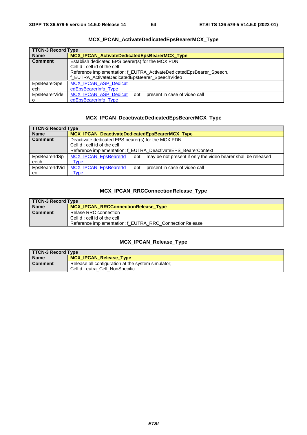<span id="page-54-0"></span>

| <b>TTCN-3 Record Type</b> |                                                                      |     |                               |
|---------------------------|----------------------------------------------------------------------|-----|-------------------------------|
| <b>Name</b>               | <b>MCX IPCAN ActivateDedicatedEpsBearerMCX Type</b>                  |     |                               |
| <b>Comment</b>            | Establish dedicated EPS bearer(s) for the MCX PDN                    |     |                               |
|                           | CellId : cell id of the cell                                         |     |                               |
|                           | Reference implementation: f EUTRA ActivateDedicatedEpsBearer Speech, |     |                               |
|                           | f_EUTRA_ActivateDedicatedEpsBearer_SpeechVideo                       |     |                               |
| EpsBearerSpe              | <b>MCX IPCAN ASP Dedicat</b>                                         |     |                               |
| ech                       | edEpsBearerInfo Type                                                 |     |                               |
| EpsBearerVide             | <b>MCX IPCAN ASP Dedicat</b>                                         | opt | present in case of video call |
| O                         | edEpsBearerInfo Type                                                 |     |                               |
|                           |                                                                      |     |                               |

### **MCX\_IPCAN\_ActivateDedicatedEpsBearerMCX\_Type**

### **MCX\_IPCAN\_DeactivateDedicatedEpsBearerMCX\_Type**

| <b>TTCN-3 Record Type</b> |                                                               |     |                                                               |
|---------------------------|---------------------------------------------------------------|-----|---------------------------------------------------------------|
| <b>Name</b>               | <b>MCX IPCAN DeactivateDedicatedEpsBearerMCX Type</b>         |     |                                                               |
| <b>Comment</b>            | Deactivate dedicated EPS bearer(s) for the MCX PDN            |     |                                                               |
|                           | CellId : cell id of the cell                                  |     |                                                               |
|                           | Reference implementation: f EUTRA DeactivateEPS BearerContext |     |                                                               |
| EpsBearerIdSp             | MCX_IPCAN_EpsBearerId                                         | opt | may be not present if only the video bearer shall be released |
| eech                      | Type                                                          |     |                                                               |
| EpsBearerIdVid            | <b>MCX IPCAN EpsBearerId</b>                                  | opt | present in case of video call                                 |
| eo                        | Type                                                          |     |                                                               |

### **MCX\_IPCAN\_RRCConnectionRelease\_Type**

| TTCN-3 Record Type |                                                         |  |
|--------------------|---------------------------------------------------------|--|
| <b>Name</b>        | <b>MCX IPCAN RRCConnectionRelease Type</b>              |  |
| <b>Comment</b>     | Relase RRC connection                                   |  |
|                    | CellId: cell id of the cell                             |  |
|                    | Reference implementation: f EUTRA RRC ConnectionRelease |  |

### **MCX\_IPCAN\_Release\_Type**

| <b>TTCN-3 Record Type</b> |                                                    |  |
|---------------------------|----------------------------------------------------|--|
| <b>Name</b>               | MCX_IPCAN_Release_Type                             |  |
| <b>Comment</b>            | Release all configuration at the system simulator; |  |
|                           | CellId: eutra_Cell_NonSpecific                     |  |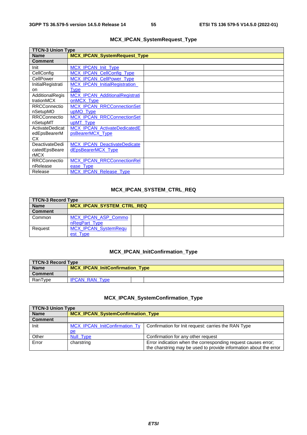<span id="page-55-0"></span>

| <b>TTCN-3 Union Type</b> |                                      |  |
|--------------------------|--------------------------------------|--|
| <b>Name</b>              | <b>MCX_IPCAN_SystemRequest_Type</b>  |  |
| <b>Comment</b>           |                                      |  |
| Init                     | <b>MCX IPCAN Init Type</b>           |  |
| CellConfig               | <b>MCX IPCAN CellConfig Type</b>     |  |
| CellPower                | MCX_IPCAN_CellPower_Type             |  |
| InitialRegistrati        | <b>MCX IPCAN InitialRegistration</b> |  |
| on                       | <b>Type</b>                          |  |
| AdditionalRegis          | MCX_IPCAN_AdditionalRegistrati       |  |
| trationMCX               | onMCX Type                           |  |
| <b>RRCConnectio</b>      | <b>MCX_IPCAN_RRCConnectionSet</b>    |  |
| nSetupMO                 | upMO Type                            |  |
| <b>RRCConnectio</b>      | MCX_IPCAN_RRCConnectionSet           |  |
| nSetupMT                 | upMT Type                            |  |
| ActivateDedicat          | <b>MCX IPCAN ActivateDedicatedE</b>  |  |
| edEpsBearerM             | psBearerMCX Type                     |  |
| CX.                      |                                      |  |
| <b>DeactivateDedi</b>    | <b>MCX IPCAN DeactivateDedicate</b>  |  |
| catedEpsBeare            | dEpsBearerMCX Type                   |  |
| rMCX                     |                                      |  |
| <b>RRCConnectio</b>      | <b>MCX_IPCAN_RRCConnectionRel</b>    |  |
| nRelease                 | ease Type                            |  |
| Release                  | <b>MCX IPCAN Release Type</b>        |  |

### **MCX\_IPCAN\_SystemRequest\_Type**

### **MCX\_IPCAN\_SYSTEM\_CTRL\_REQ**

| <b>TTCN-3 Record Type</b> |                                  |  |  |
|---------------------------|----------------------------------|--|--|
| <b>Name</b>               | <b>MCX IPCAN SYSTEM CTRL REQ</b> |  |  |
| <b>Comment</b>            |                                  |  |  |
| Common                    | <b>MCX IPCAN ASP Commo</b>       |  |  |
|                           | nReqPart_Type                    |  |  |
| Request                   | <b>MCX IPCAN SystemRequ</b>      |  |  |
|                           | est_Type                         |  |  |

### **MCX\_IPCAN\_InitConfirmation\_Type**

| TTCN-3 Record Type |                                        |  |
|--------------------|----------------------------------------|--|
| <b>Name</b>        | <b>MCX IPCAN InitConfirmation Type</b> |  |
| Comment            |                                        |  |
| RanType            | <b>IPCAN RAN Type</b>                  |  |

### **MCX\_IPCAN\_SystemConfirmation\_Type**

| TTCN-3 Union Type |                                      |                                                                   |  |
|-------------------|--------------------------------------|-------------------------------------------------------------------|--|
| <b>Name</b>       | MCX_IPCAN_SystemConfirmation_Type    |                                                                   |  |
| <b>Comment</b>    |                                      |                                                                   |  |
| Init              | <b>MCX IPCAN InitConfirmation Ty</b> | Confirmation for Init request: carries the RAN Type               |  |
|                   | pe                                   |                                                                   |  |
| Other             | Null Type                            | Confirmation for any other request                                |  |
| Error             | charstring                           | Error indication when the corresponding request causes error;     |  |
|                   |                                      | the charstring may be used to provide information about the error |  |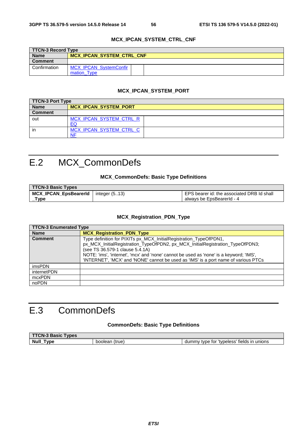#### **MCX\_IPCAN\_SYSTEM\_CTRL\_CNF**

<span id="page-56-0"></span>

| TTCN-3 Record Type |                                  |  |
|--------------------|----------------------------------|--|
| <b>Name</b>        | <b>MCX IPCAN SYSTEM CTRL CNF</b> |  |
| <b>Comment</b>     |                                  |  |
| Confirmation       | <b>MCX IPCAN SystemConfir</b>    |  |
|                    | mation Type                      |  |

#### **MCX\_IPCAN\_SYSTEM\_PORT**

| TTCN-3 Port Type |                              |  |
|------------------|------------------------------|--|
| <b>Name</b>      | <b>MCX IPCAN SYSTEM PORT</b> |  |
| <b>Comment</b>   |                              |  |
| out              | MCX IPCAN SYSTEM CTRL R      |  |
|                  | EC                           |  |
| in               | MCX IPCAN SYSTEM CTRL C      |  |
|                  | <b>NF</b>                    |  |

# E.2 MCX\_CommonDefs

#### **MCX\_CommonDefs: Basic Type Definitions**

| <b>TTCN-3 Basic Types</b>    |                  |                                            |
|------------------------------|------------------|--------------------------------------------|
| <b>MCX IPCAN EpsBearerId</b> | integer $(5.13)$ | EPS bearer id: the associated DRB Id shall |
| Type                         |                  | always be EpsBearerId - 4                  |

#### **MCX\_Registration\_PDN\_Type**

| <b>TTCN-3 Enumerated Type</b> |                                                                                                                                                                                                                                                                                                                                                                         |  |
|-------------------------------|-------------------------------------------------------------------------------------------------------------------------------------------------------------------------------------------------------------------------------------------------------------------------------------------------------------------------------------------------------------------------|--|
| <b>Name</b>                   | <b>MCX Registration PDN Type</b>                                                                                                                                                                                                                                                                                                                                        |  |
| <b>Comment</b>                | Type definition for PIXITs px_MCX_InitialRegistration_TypeOfPDN1,<br>px_MCX_InitialRegistration_TypeOfPDN2, px_MCX_InitialRegistration_TypeOfPDN3;<br>(see TS 36.579-1 clause 5.4.1A)<br>NOTE: 'ims', 'internet', 'mcx' and 'none' cannot be used as 'none' is a keyword; 'IMS',<br>'INTERNET', 'MCX' and 'NONE' cannot be used as 'IMS' is a port name of various PTCs |  |
| imsPDN                        |                                                                                                                                                                                                                                                                                                                                                                         |  |
| internetPDN                   |                                                                                                                                                                                                                                                                                                                                                                         |  |
| mcxPDN                        |                                                                                                                                                                                                                                                                                                                                                                         |  |
| noPDN                         |                                                                                                                                                                                                                                                                                                                                                                         |  |

# E.3 CommonDefs

### **CommonDefs: Basic Type Definitions**

| FTAN A<br><b>Basic</b><br><b>vpes</b><br>'∪N<br>-ა |                  |                                                               |
|----------------------------------------------------|------------------|---------------------------------------------------------------|
| <b>Null</b><br>V <sub>pe</sub><br>__               | boolean<br>(true | tvpeless'. "<br>' fields in<br>unions<br>dummy<br>tor<br>tvpe |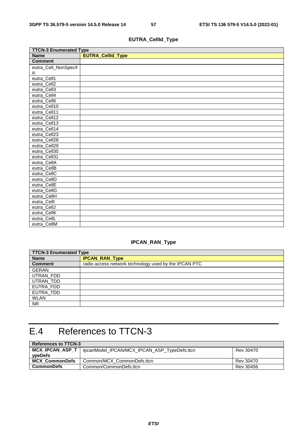$\overline{\phantom{0}}$ 

<span id="page-57-0"></span>

| <b>TTCN-3 Enumerated Type</b> |                   |  |  |  |  |
|-------------------------------|-------------------|--|--|--|--|
| <b>Name</b>                   | EUTRA_CellId_Type |  |  |  |  |
| <b>Comment</b>                |                   |  |  |  |  |
| eutra_Cell_NonSpecif          |                   |  |  |  |  |
| ic                            |                   |  |  |  |  |
| eutra_Cell1                   |                   |  |  |  |  |
| eutra_Cell2                   |                   |  |  |  |  |
| eutra_Cell3                   |                   |  |  |  |  |
| eutra_Cell4                   |                   |  |  |  |  |
| eutra_Cell6                   |                   |  |  |  |  |
| eutra_Cell10                  |                   |  |  |  |  |
| eutra_Cell11                  |                   |  |  |  |  |
| eutra_Cell12                  |                   |  |  |  |  |
| eutra_Cell13                  |                   |  |  |  |  |
| eutra_Cell14                  |                   |  |  |  |  |
| eutra_Cell23                  |                   |  |  |  |  |
| eutra_Cell <sub>28</sub>      |                   |  |  |  |  |
| eutra_Cell29                  |                   |  |  |  |  |
| eutra_Cell30                  |                   |  |  |  |  |
| eutra_Cell31                  |                   |  |  |  |  |
| eutra_CellA                   |                   |  |  |  |  |
| eutra_CellB                   |                   |  |  |  |  |
| eutra_CellC                   |                   |  |  |  |  |
| eutra_CellD                   |                   |  |  |  |  |
| eutra_CellE                   |                   |  |  |  |  |
| eutra_CellG                   |                   |  |  |  |  |
| eutra_CellH                   |                   |  |  |  |  |
| eutra_Celll                   |                   |  |  |  |  |
| eutra_CellJ                   |                   |  |  |  |  |
| eutra_CellK                   |                   |  |  |  |  |
| eutra_CellL                   |                   |  |  |  |  |
| eutra_CellM                   |                   |  |  |  |  |

### **EUTRA\_CellId\_Type**

# **IPCAN\_RAN\_Type**

| <b>TTCN-3 Enumerated Type</b> |                                                       |  |  |  |
|-------------------------------|-------------------------------------------------------|--|--|--|
| <b>Name</b>                   | <b>IPCAN_RAN_Type</b>                                 |  |  |  |
| <b>Comment</b>                | radio access network technology used by the IPCAN PTC |  |  |  |
| <b>GERAN</b>                  |                                                       |  |  |  |
| UTRAN_FDD                     |                                                       |  |  |  |
| UTRAN_TDD                     |                                                       |  |  |  |
| EUTRA_FDD                     |                                                       |  |  |  |
| EUTRA TDD                     |                                                       |  |  |  |
| <b>WLAN</b>                   |                                                       |  |  |  |
| <b>NR</b>                     |                                                       |  |  |  |

# E.4 References to TTCN-3

 $\blacksquare$ 

| <b>References to TTCN-3</b> |                                              |           |  |  |
|-----------------------------|----------------------------------------------|-----------|--|--|
| MCX_IPCAN_ASP_T             | lpcanModel_IPCAN/MCX_IPCAN_ASP_TypeDefs.ttcn | Rev 30470 |  |  |
| vpeDefs                     |                                              |           |  |  |
| <b>MCX CommonDefs</b>       | Common/MCX CommonDefs.ttcn                   | Rev 30470 |  |  |
| CommonDefs                  | Common/CommonDefs.ttcn                       | Rev 30456 |  |  |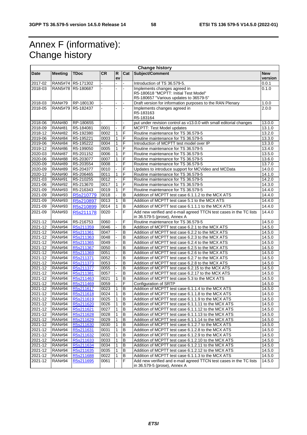# Annex F (informative): Change history

| <b>Change history</b> |                |                  |                |              |                          |                                                                    |                  |
|-----------------------|----------------|------------------|----------------|--------------|--------------------------|--------------------------------------------------------------------|------------------|
| Date                  | <b>Meeting</b> | <b>TDoc</b>      | <b>CR</b>      | R            | Cat                      | Subject/Comment                                                    | <b>New</b>       |
| 2017-02               | <b>RAN5#74</b> | R5-171302        |                | ev           |                          | Introduction of TS 36.579-5.                                       | version<br>0.0.1 |
| 2018-03               | <b>RAN5#78</b> | R5-180687        | $\blacksquare$ | ä,           | $\overline{\phantom{a}}$ | Implements changes agreed in                                       | 0.1.0            |
|                       |                |                  |                |              |                          | R5-180618 "MCPTT: Initial Test Model"                              |                  |
|                       |                |                  |                |              |                          | R5-180657 "Various updates to 36579-5"                             |                  |
| 2018-03               | <b>RAN#79</b>  | RP-180130        |                |              |                          | Draft version for information purposes to the RAN Plenary          | 1.0.0            |
| 2018-05               | <b>RAN5#79</b> | R5-182437        | ä,             | ä,           | $\blacksquare$           | Implements changes agreed in                                       | 2.0.0            |
|                       |                |                  |                |              |                          | R5-183163                                                          |                  |
|                       |                |                  |                |              |                          | R5-183164                                                          |                  |
| 2018-06               | <b>RAN#80</b>  | RP-180655        |                |              |                          | put under revision control as v13.0.0 with small editorial changes | 13.0.0           |
| 2018-09               | <b>RAN#81</b>  | R5-184081        | 0001           |              | F                        | <b>MCPTT: Test Model updates</b>                                   | 13.1.0           |
| 2018-12               | <b>RAN#82</b>  | R5-192380        | 0002           | 1            | F                        | Routine maintenance for TS 36.579-5                                | 13.2.0           |
| 2019-06               | <b>RAN#84</b>  | R5-195221        | 0003           | 1            | F                        | Routine maintenance for TS 36.579-5                                | 13.3.0           |
| 2019-06               | <b>RAN#84</b>  | R5-195222        | 0004           | $\mathbf{1}$ | F                        | Introduction of MCPTT test model over IP                           | 13.3.0           |
| 2019-12               | <b>RAN#86</b>  | R5-199050        | 0005           | 1            | F                        | Routine maintenance for TS 36.579-5                                | 13.4.0           |
| 2020-03               | <b>RAN#87</b>  | R5-201152        | 0006           | 1            | F                        | Routine maintenance for TS 36.579-5                                | 13.5.0           |
| 2020-06               | <b>RAN#88</b>  | R5-203077        | 0007           | 1            | F                        | Routine maintenance for TS 36.579-5                                | 13.6.0           |
| 2020-09               | <b>RAN#89</b>  | R5-203554        | 0008           |              | F                        | Routine maintenance for TS 36.579-5                                | 13.7.0           |
| 2020-09               | <b>RAN#89</b>  | R5-204377        | 0010           |              | F                        | Updates to introduce support for MCVideo and MCData                | 14.0.0           |
| 2020-12               | <b>RAN#90</b>  | R5-206465        | 0011           | 1            | F                        | Routine maintenance for TS 36.579-5                                | 14.1.0           |
| 2021-03               | <b>RAN#91</b>  | R5-210255        | 0012           |              | F                        | Routine maintenance for TS 36.579-5                                | 14.2.0           |
| 2021-06               | <b>RAN#92</b>  | R5-213670        | 0017           | 1            | F                        | Routine maintenance for TS 36.579-5                                | 14.3.0           |
| 2021-09               | <b>RAN#93</b>  | R5-216343        | 0019           | 1            | F                        | Routine maintenance for TS 36.579-5                                | 14.4.0           |
| 2021-09               | <b>RAN#93</b>  | R5s210779        | 0018           |              | B                        | Addition of MCPTT test case 6.1.1.2 to the MCX ATS                 | 14.4.0           |
| 2021-09               | <b>RAN#93</b>  | R5s210897        | 0013           | 1            | B                        | Addition of MCPTT test case 5.1 to the MCX ATS                     | 14.4.0           |
| 2021-09               | <b>RAN#93</b>  | R5s210899        | 0014           | 1            | B                        | Addition of MCPTT test case 6.1.1.1 to the MCX ATS                 | 14.4.0           |
| 2021-09               | <b>RAN#93</b>  | R5s211178        | 0020           | ä,           | $\overline{F}$           | Add new verified and e-mail agreed TTCN test cases in the TC lists | 14.4.0           |
|                       |                |                  |                |              |                          | in 36.579-5 (prose), Annex A                                       |                  |
| 2021-12               | <b>RAN#94</b>  | R5-216753        | 0060           |              | F                        | Routine maintenance for TS 36.579-5                                | 14.5.0           |
| 2021-12               | <b>RAN#94</b>  | R5s211359        | 0046           |              | B                        | Addition of MCPTT test case 6.2.1 to the MCX ATS                   | 14.5.0           |
| $2021 - 12$           | <b>RAN#94</b>  | R5s211361        | 0047           |              | B                        | Addition of MCPTT test case 6.2.2 to the MCX ATS                   | 14.5.0           |
| 2021-12               | <b>RAN#94</b>  | R5s211363        | 0048           |              | B                        | Addition of MCPTT test case 6.2.3 to the MCX ATS                   | 14.5.0           |
| 2021-12               | <b>RAN#94</b>  | R5s211365        | 0049           |              | B                        | Addition of MCPTT test case 6.2.4 to the MCX ATS                   | 14.5.0           |
| 2021-12               | <b>RAN#94</b>  | R5s211367        | 0050           |              | B                        | Addition of MCPTT test case 6.2.5 to the MCX ATS                   | 14.5.0           |
| 2021-12               | <b>RAN#94</b>  | R5s211369        | 0051           |              | B                        | Addition of MCPTT test case 6.2.6 to the MCX ATS                   | 14.5.0           |
| $2021 - 12$           | <b>RAN#94</b>  | R5s211371        | 0052           |              | $\overline{B}$           | Addition of MCPTT test case 6.2.7 to the MCX ATS                   | 14.5.0           |
| 2021-12               | <b>RAN#94</b>  | R5s211373        | 0053           |              | B                        | Addition of MCPTT test case 6.2.8 to the MCX ATS                   | 14.5.0           |
| 2021-12               | <b>RAN#94</b>  | R5s211377        | 0055           | ä,           | B                        | Addition of MCPTT test case 6.2.15 to the MCX ATS                  | 14.5.0           |
| 2021-12               | <b>RAN#94</b>  | R5s211381        | 0057           |              | B                        | Addition of MCPTT test case 6.2.17 to the MCX ATS                  | 14.5.0           |
| 2021-12               | <b>RAN#94</b>  | R5s211463        | 0021           | 1            | B                        | Addition of MCPTT test case 5.3 to the MCX ATS                     | 14.5.0           |
| 2021-12               | <b>RAN#94</b>  | R5s211469        | 0059           | ÷.           | F                        | Configuration of SRTP                                              | 14.5.0           |
| 2021-12               | <b>RAN#94</b>  | R5s211617        | 0023           | 1            | B                        | Addition of MCPTT test case 6.1.1.4 to the MCX ATS                 | 14.5.0           |
| $2021 - 12$           | <b>RAN#94</b>  | R5s211618        | 0024           | 1            | B                        | Addition of MCPTT test case 6.1.1.8 to the MCX ATS                 | 14.5.0           |
| 2021-12               | <b>RAN#94</b>  | <u>R5S211619</u> | 0025           | 1            | в                        | Addition of MCPTT rest case 6.1.1.9 to the MCX ATS                 | 14.5.0           |
| 2021-12               | <b>RAN#94</b>  | R5s211620        | 0026           | $\mathbf{1}$ | B                        | Addition of MCPTT test case 6.1.1.11 to the MCX ATS                | 14.5.0           |
| 2021-12               | <b>RAN#94</b>  | R5s211621        | 0027           | 1            | В                        | Addition of MCPTT test case 6.1.1.12 to the MCX ATS                | 14.5.0           |
| 2021-12               | <b>RAN#94</b>  | R5s211628        | 0028           | 1            | в                        | Addition of MCPTT test case 6.1.1.13 to the MCX ATS                | 14.5.0           |
| 2021-12               | <b>RAN#94</b>  | R5s211629        | 0029           | 1            | B                        | Addition of MCPTT test case 6.1.1.14 to the MCX ATS                | 14.5.0           |
| 2021-12               | <b>RAN#94</b>  | R5s211630        | 0030           | 1            | в                        | Addition of MCPTT test case 6.1.2.7 to the MCX ATS                 | 14.5.0           |
| 2021-12               | <b>RAN#94</b>  | R5s211631        | 0031           | 1            | в                        | Addition of MCPTT test case 6.1.2.8 to the MCX ATS                 | 14.5.0           |
| 2021-12               | <b>RAN#94</b>  | R5s211632        | 0032           | 1            | B                        | Addition of MCPTT test case 6.1.2.9 to the MCX ATS                 | 14.5.0           |
| 2021-12               | <b>RAN#94</b>  | R5s211633        | 0033           | 1            | B                        | Addition of MCPTT test case 6.1.2.10 to the MCX ATS                | 14.5.0           |
| 2021-12               | <b>RAN#94</b>  | R5s211634        | 0034           | 1            | в                        | Addition of MCPTT test case 6.1.2.11 to the MCX ATS                | 14.5.0           |
| 2021-12               | <b>RAN#94</b>  | R5s211635        | 0035           | 1            | B                        | Addition of MCPTT test case 6.1.2.12 to the MCX ATS                | 14.5.0           |
| 2021-12               | <b>RAN#94</b>  | R5s211688        | 0022           | 1            | B                        | Addition of MCPTT test case 6.1.1.3 to the MCX ATS                 | 14.5.0           |
| 2021-12               | <b>RAN#94</b>  | R5s211695        | 0061           |              | F                        | Add new verified and e-mail agreed TTCN test cases in the TC lists | 14.5.0           |
|                       |                |                  |                |              |                          | in 36.579-5 (prose), Annex A                                       |                  |